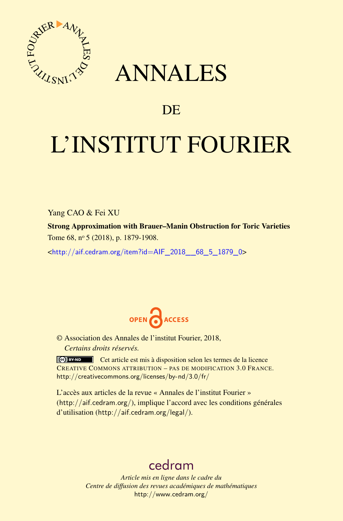

## ANNALES

## **DE**

# L'INSTITUT FOURIER

Yang CAO & Fei XU

Strong Approximation with Brauer–Manin Obstruction for Toric Varieties Tome 68, nº 5 (2018), p. 1879-1908.

<[http://aif.cedram.org/item?id=AIF\\_2018\\_\\_68\\_5\\_1879\\_0](http://aif.cedram.org/item?id=AIF_2018__68_5_1879_0)>



© Association des Annales de l'institut Fourier, 2018, *Certains droits réservés.*

Cet article est mis à disposition selon les termes de la licence CREATIVE COMMONS ATTRIBUTION – PAS DE MODIFICATION 3.0 FRANCE. <http://creativecommons.org/licenses/by-nd/3.0/fr/>

L'accès aux articles de la revue « Annales de l'institut Fourier » (<http://aif.cedram.org/>), implique l'accord avec les conditions générales d'utilisation (<http://aif.cedram.org/legal/>).

## [cedram](http://www.cedram.org/)

*Article mis en ligne dans le cadre du Centre de diffusion des revues académiques de mathématiques* <http://www.cedram.org/>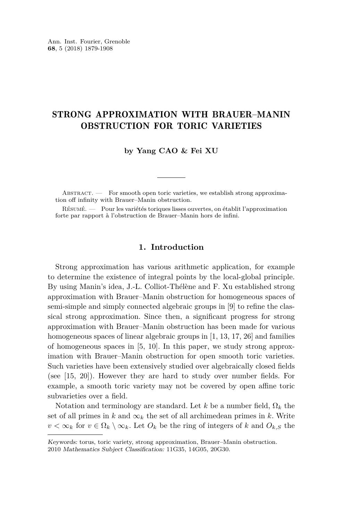### STRONG APPROXIMATION WITH BRAUER–MANIN OBSTRUCTION FOR TORIC VARIETIES

**by Yang CAO & Fei XU**

ABSTRACT. — For smooth open toric varieties, we establish strong approximation off infinity with Brauer–Manin obstruction.

Résumé. — Pour les variétés toriques lisses ouvertes, on établit l'approximation forte par rapport à l'obstruction de Brauer–Manin hors de infini.

#### **1. Introduction**

Strong approximation has various arithmetic application, for example to determine the existence of integral points by the local-global principle. By using Manin's idea, J.-L. Colliot-Thélène and F. Xu established strong approximation with Brauer–Manin obstruction for homogeneous spaces of semi-simple and simply connected algebraic groups in [\[9\]](#page-29-0) to refine the classical strong approximation. Since then, a significant progress for strong approximation with Brauer–Manin obstruction has been made for various homogeneous spaces of linear algebraic groups in [\[1,](#page-29-1) [13,](#page-29-2) [17,](#page-30-0) [26\]](#page-30-1) and families of homogeneous spaces in [\[5,](#page-29-3) [10\]](#page-29-4). In this paper, we study strong approximation with Brauer–Manin obstruction for open smooth toric varieties. Such varieties have been extensively studied over algebraically closed fields (see [\[15,](#page-29-5) [20\]](#page-30-2)). However they are hard to study over number fields. For example, a smooth toric variety may not be covered by open affine toric subvarieties over a field.

Notation and terminology are standard. Let *k* be a number field, Ω*<sup>k</sup>* the set of all primes in *k* and  $\infty_k$  the set of all archimedean primes in *k*. Write  $v < \infty_k$  for  $v \in \Omega_k \setminus \infty_k$ . Let  $O_k$  be the ring of integers of *k* and  $O_{k,S}$  the

Keywords: torus, toric variety, strong approximation, Brauer–Manin obstruction. 2010 Mathematics Subject Classification: 11G35, 14G05, 20G30.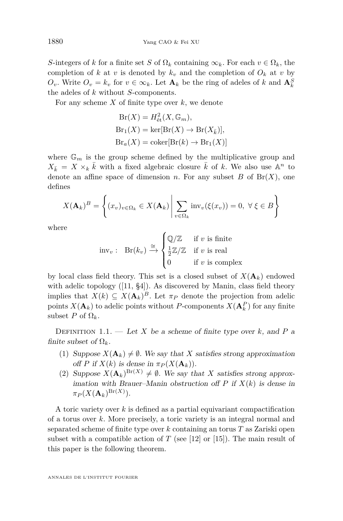*S*-integers of *k* for a finite set *S* of  $\Omega_k$  containing  $\infty_k$ . For each  $v \in \Omega_k$ , the completion of *k* at *v* is denoted by  $k_v$  and the completion of  $O_k$  at *v* by *O*<sup>*v*</sup>. Write  $O_v = k_v$  for  $v \in \infty_k$ . Let  $\mathbf{A}_k$  be the ring of adeles of *k* and  $\mathbf{A}_k^S$ the adeles of *k* without *S*-components.

For any scheme *X* of finite type over *k*, we denote

$$
Br(X) = H_{\text{\'et}}^2(X, \mathbb{G}_m),
$$
  
\n
$$
Br_1(X) = \ker[Br(X) \to Br(X_{\bar{k}})],
$$
  
\n
$$
Br_a(X) = \text{coker}[Br(k) \to Br_1(X)]
$$

where  $\mathbb{G}_m$  is the group scheme defined by the multiplicative group and  $X_{\bar{k}} = X \times_k \bar{k}$  with a fixed algebraic closure  $\bar{k}$  of *k*. We also use  $\mathbb{A}^n$  to denote an affine space of dimension *n*. For any subset  $B$  of  $Br(X)$ , one defines

$$
X(\mathbf{A}_k)^B = \left\{ (x_v)_{v \in \Omega_k} \in X(\mathbf{A}_k) \middle| \sum_{v \in \Omega_k} \text{inv}_v(\xi(x_v)) = 0, \ \forall \ \xi \in B \right\}
$$

where

$$
\text{inv}_{v} : \text{Br}(k_{v}) \xrightarrow{\cong} \begin{cases} \mathbb{Q}/\mathbb{Z} & \text{if } v \text{ is finite} \\ \frac{1}{2}\mathbb{Z}/\mathbb{Z} & \text{if } v \text{ is real} \\ 0 & \text{if } v \text{ is complex} \end{cases}
$$

by local class field theory. This set is a closed subset of  $X(\mathbf{A}_k)$  endowed with adelic topology ([\[11,](#page-29-6) §4]). As discovered by Manin, class field theory implies that  $X(k) \subseteq X(\mathbf{A}_k)^B$ . Let  $\pi_P$  denote the projection from adelic points  $X(\mathbf{A}_k)$  to adelic points without *P*-components  $X(\mathbf{A}_k^P)$  for any finite subset *P* of  $\Omega_k$ .

DEFINITION 1.1. — Let *X* be a scheme of finite type over *k*, and *P* a finite subset of  $\Omega_k$ .

- (1) Suppose  $X(\mathbf{A}_k) \neq \emptyset$ . We say that X satisfies strong approximation off *P* if  $X(k)$  is dense in  $\pi_P(X(\mathbf{A}_k))$ .
- (2) Suppose  $X(\mathbf{A}_k)^{Br(X)} \neq \emptyset$ . We say that *X* satisfies strong approximation with Brauer–Manin obstruction of  $P$  if  $X(k)$  is dense in  $\pi_P(X(\mathbf{A}_k)^{\mathrm{Br}(X)}).$

A toric variety over *k* is defined as a partial equivariant compactification of a torus over *k*. More precisely, a toric variety is an integral normal and separated scheme of finite type over *k* containing an torus *T* as Zariski open subset with a compatible action of  $T$  (see [\[12\]](#page-29-7) or [\[15\]](#page-29-5)). The main result of this paper is the following theorem.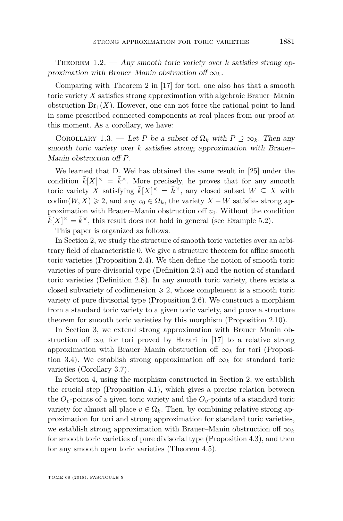THEOREM  $1.2.$  — Any smooth toric variety over *k* satisfies strong approximation with Brauer–Manin obstruction of  $\infty_k$ .

Comparing with Theorem 2 in [\[17\]](#page-30-0) for tori, one also has that a smooth toric variety *X* satisfies strong approximation with algebraic Brauer–Manin obstruction  $Br_1(X)$ . However, one can not force the rational point to land in some prescribed connected components at real places from our proof at this moment. As a corollary, we have:

COROLLARY 1.3. — Let *P* be a subset of  $\Omega_k$  with  $P \supseteq \infty_k$ . Then any smooth toric variety over *k* satisfies strong approximation with Brauer– Manin obstruction off *P*.

We learned that D. Wei has obtained the same result in [\[25\]](#page-30-3) under the condition  $\bar{k}[X]^\times = \bar{k}^\times$ . More precisely, he proves that for any smooth toric variety *X* satisfying  $\bar{k}[X]^{\times} = \bar{k}^{\times}$ , any closed subset  $W \subseteq X$  with codim(*W, X*)  $\geq 2$ , and any  $v_0 \in \Omega_k$ , the variety *X* – *W* satisfies strong approximation with Brauer–Manin obstruction of  $v_0$ . Without the condition  $\bar{k}[X]^\times = \bar{k}^\times$ , this result does not hold in general (see Example [5.2\)](#page-27-0).

This paper is organized as follows.

In Section [2,](#page-4-0) we study the structure of smooth toric varieties over an arbitrary field of characteristic 0. We give a structure theorem for affine smooth toric varieties (Proposition [2.4\)](#page-6-0). We then define the notion of smooth toric varieties of pure divisorial type (Definition [2.5\)](#page-8-0) and the notion of standard toric varieties (Definition [2.8\)](#page-9-0). In any smooth toric variety, there exists a closed subvariety of codimension  $\geq 2$ , whose complement is a smooth toric variety of pure divisorial type (Proposition [2.6\)](#page-8-1). We construct a morphism from a standard toric variety to a given toric variety, and prove a structure theorem for smooth toric varieties by this morphism (Proposition [2.10\)](#page-12-0).

In Section [3,](#page-13-0) we extend strong approximation with Brauer–Manin obstruction of  $\infty_k$  for tori proved by Harari in [\[17\]](#page-30-0) to a relative strong approximation with Brauer–Manin obstruction of  $\infty_k$  for tori (Proposi-tion [3.4\)](#page-15-0). We establish strong approximation of  $\infty_k$  for standard toric varieties (Corollary [3.7\)](#page-17-0).

In Section [4,](#page-17-1) using the morphism constructed in Section [2,](#page-4-0) we establish the crucial step (Proposition [4.1\)](#page-19-0), which gives a precise relation between the  $O_v$ -points of a given toric variety and the  $O_v$ -points of a standard toric variety for almost all place  $v \in \Omega_k$ . Then, by combining relative strong approximation for tori and strong approximation for standard toric varieties, we establish strong approximation with Brauer–Manin obstruction of  $\infty_k$ for smooth toric varieties of pure divisorial type (Proposition [4.3\)](#page-21-0), and then for any smooth open toric varieties (Theorem [4.5\)](#page-24-0).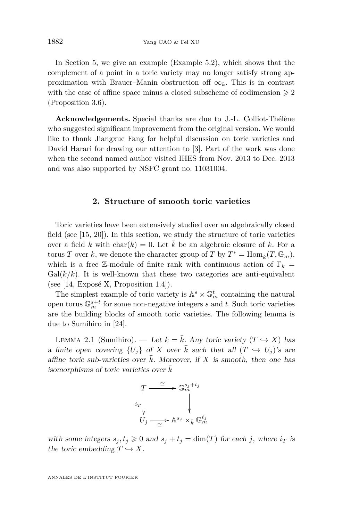In Section [5,](#page-27-1) we give an example (Example [5.2\)](#page-27-0), which shows that the complement of a point in a toric variety may no longer satisfy strong approximation with Brauer–Manin obstruction of  $\infty_k$ . This is in contrast with the case of affine space minus a closed subscheme of codimension  $\geq 2$ (Proposition [3.6\)](#page-16-0).

**Acknowledgements.** Special thanks are due to J.-L. Colliot-Thélène who suggested significant improvement from the original version. We would like to thank Jiangxue Fang for helpful discussion on toric varieties and David Harari for drawing our attention to [\[3\]](#page-29-8). Part of the work was done when the second named author visited IHES from Nov. 2013 to Dec. 2013 and was also supported by NSFC grant no. 11031004.

#### **2. Structure of smooth toric varieties**

<span id="page-4-0"></span>Toric varieties have been extensively studied over an algebraically closed field (see [\[15,](#page-29-5) [20\]](#page-30-2)). In this section, we study the structure of toric varieties over a field *k* with char(*k*) = 0. Let  $\overline{k}$  be an algebraic closure of *k*. For a torus *T* over *k*, we denote the character group of *T* by  $T^* = \text{Hom}_{\bar{k}}(T, \mathbb{G}_m)$ , which is a free Z-module of finite rank with continuous action of  $\Gamma_k$  =  $Gal(\overline{k}/k)$ . It is well-known that these two categories are anti-equivalent (see [\[14,](#page-29-9) Exposé X, Proposition 1.4]).

The simplest example of toric variety is  $\mathbb{A}^s \times \mathbb{G}_m^t$  containing the natural open torus  $\mathbb{G}_m^{s+t}$  for some non-negative integers *s* and *t*. Such toric varieties are the building blocks of smooth toric varieties. The following lemma is due to Sumihiro in [\[24\]](#page-30-4).

<span id="page-4-1"></span>LEMMA 2.1 (Sumihiro). — Let  $k = \overline{k}$ . Any toric variety  $(T \hookrightarrow X)$  has a finite open covering  $\{U_i\}$  of X over  $\overline{k}$  such that all  $(T \hookrightarrow U_j)$ 's are affine toric sub-varieties over  $\overline{k}$ . Moreover, if X is smooth, then one has isomorphisms of toric varieties over  $k$ 



with some integers  $s_j, t_j \geq 0$  and  $s_j + t_j = \dim(T)$  for each *j*, where  $i_T$  is the toric embedding  $T \hookrightarrow X$ .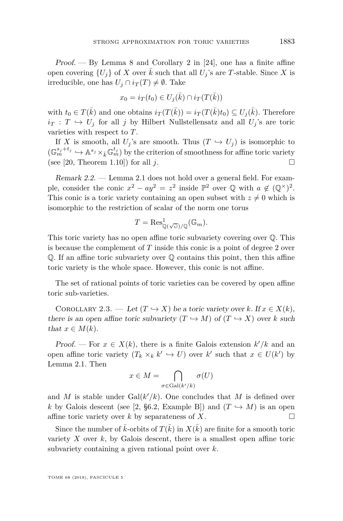Proof.  $-$  By Lemma 8 and Corollary 2 in [\[24\]](#page-30-4), one has a finite affine open covering  $\{U_i\}$  of *X* over  $\overline{k}$  such that all  $U_j$ 's are *T*-stable. Since *X* is irreducible, one has  $U_j \cap i_T(T) \neq \emptyset$ . Take

$$
x_0 = i_T(t_0) \in U_j(\bar{k}) \cap i_T(T(\bar{k}))
$$

with  $t_0 \in T(\bar{k})$  and one obtains  $i_T(T(\bar{k})) = i_T(T(\bar{k})t_0) \subseteq U_j(\bar{k})$ . Therefore  $i_T : T \hookrightarrow U_j$  for all *j* by Hilbert Nullstellensatz and all  $U_j$ 's are toric varieties with respect to *T*.

If *X* is smooth, all  $U_j$ 's are smooth. Thus  $(T \hookrightarrow U_j)$  is isomorphic to  $(\mathbb{G}_m^{s_j+t_j} \hookrightarrow \mathbb{A}^{s_j} \times_{\bar{k}} \mathbb{G}_m^{t_j})$  by the criterion of smoothness for affine toric variety (see [\[20,](#page-30-2) Theorem 1.10]) for all  $j$ .

Remark 2.2. — Lemma [2.1](#page-4-1) does not hold over a general field. For example, consider the conic  $x^2 - ay^2 = z^2$  inside  $\mathbb{P}^2$  over  $\mathbb Q$  with  $a \notin (\mathbb Q^\times)^2$ . This conic is a toric variety containing an open subset with  $z \neq 0$  which is isomorphic to the restriction of scalar of the norm one torus

$$
T = \text{Res}^1_{\mathbb{Q}(\sqrt{\partial})/\mathbb{Q}}(\mathbb{G}_m).
$$

This toric variety has no open affine toric subvariety covering over Q. This is because the complement of *T* inside this conic is a point of degree 2 over Q. If an affine toric subvariety over Q contains this point, then this affine toric variety is the whole space. However, this conic is not affine.

The set of rational points of toric varieties can be covered by open affine toric sub-varieties.

<span id="page-5-0"></span>COROLLARY 2.3. — Let  $(T \hookrightarrow X)$  be a toric variety over *k*. If  $x \in X(k)$ , there is an open affine toric subvariety  $(T \hookrightarrow M)$  of  $(T \hookrightarrow X)$  over *k* such that  $x \in M(k)$ .

Proof. — For  $x \in X(k)$ , there is a finite Galois extension  $k'/k$  and an open affine toric variety  $(T_k \times_k k' \hookrightarrow U)$  over  $k'$  such that  $x \in U(k')$  by Lemma [2.1.](#page-4-1) Then

$$
x \in M = \bigcap_{\sigma \in \text{Gal}(k'/k)} \sigma(U)
$$

and *M* is stable under  $Gal(k'/k)$ . One concludes that *M* is defined over *k* by Galois descent (see [\[2,](#page-29-10) §6.2, Example B]) and  $(T \hookrightarrow M)$  is an open affine toric variety over  $k$  by separateness of  $X$ .

Since the number of  $\bar{k}$ -orbits of  $T(\bar{k})$  in  $X(\bar{k})$  are finite for a smooth toric variety  $X$  over  $k$ , by Galois descent, there is a smallest open affine toric subvariety containing a given rational point over *k*.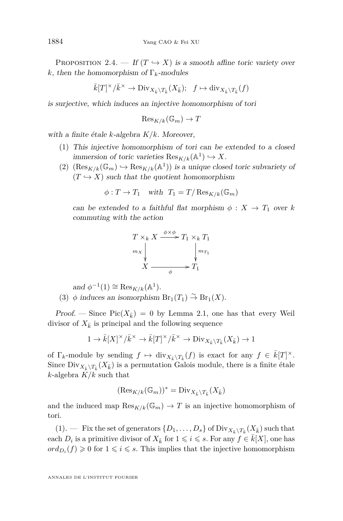<span id="page-6-0"></span>PROPOSITION 2.4. — If  $(T \hookrightarrow X)$  is a smooth affine toric variety over *k*, then the homomorphism of  $\Gamma_k$ -modules

$$
\bar{k}[T]^\times/\bar{k}^\times \to \text{Div}_{X_{\bar{k}} \setminus T_{\bar{k}}}(X_{\bar{k}}); \ \ f \mapsto \text{div}_{X_{\bar{k}} \setminus T_{\bar{k}}}(f)
$$

is surjective, which induces an injective homomorphism of tori

$$
\mathrm{Res}_{K/k}(\mathbb{G}_m) \to T
$$

<span id="page-6-1"></span>with a finite étale *k*-algebra *K/k*. Moreover,

- (1) This injective homomorphism of tori can be extended to a closed immersion of toric varieties  $\text{Res}_{K/k}(\mathbb{A}^1) \hookrightarrow X$ .
- <span id="page-6-2"></span>(2)  $(\text{Res}_{K/k}(\mathbb{G}_m) \hookrightarrow \text{Res}_{K/k}(\mathbb{A}^1))$  is a unique closed toric subvariety of  $(T \hookrightarrow X)$  such that the quotient homomorphism

$$
\phi: T \to T_1 \quad \text{with} \quad T_1 = T / \operatorname{Res}_{K/k}(\mathbb{G}_m)
$$

can be extended to a faithful flat morphism  $\phi: X \to T_1$  over k commuting with the action

$$
T \times_k X \xrightarrow{\phi \times \phi} T_1 \times_k T_1
$$
  
\n
$$
m_X \downarrow \qquad \qquad \downarrow m_{T_1}
$$
  
\n
$$
X \xrightarrow{\phi} T_1
$$

and  $\phi^{-1}(1) \cong \operatorname{Res}_{K/k}(\mathbb{A}^1)$ .

<span id="page-6-3"></span>(3)  $\phi$  induces an isomorphism  $\text{Br}_1(T_1) \overset{\sim}{\to} \text{Br}_1(X)$ .

Proof. — Since  $Pic(X_{\bar{k}}) = 0$  by Lemma [2.1,](#page-4-1) one has that every Weil divisor of  $X_{\bar{k}}$  is principal and the following sequence

$$
1 \to \bar{k}[X]^\times/\bar{k}^\times \to \bar{k}[T]^\times/\bar{k}^\times \to \text{Div}_{X_{\bar{k}}\backslash T_{\bar{k}}}(X_{\bar{k}}) \to 1
$$

of  $\Gamma_k$ -module by sending  $f \mapsto \text{div}_{X_{\bar{k}}\setminus T_{\bar{k}}}(f)$  is exact for any  $f \in \bar{k}[T]^{\times}$ . Since  $\text{Div}_{X_{\bar{k}} \setminus T_{\bar{k}}}(X_{\bar{k}})$  is a permutation Galois module, there is a finite étale *k*-algebra *K/k* such that

$$
(\mathrm{Res}_{K/k}(\mathbb{G}_{m}))^*=\mathrm{Div}_{X_{\bar{k}}\backslash T_{\bar{k}}}(X_{\bar{k}})
$$

and the induced map  $\text{Res}_{K/k}(\mathbb{G}_m) \to T$  is an injective homomorphism of tori.

 $(1).$  $(1).$  — Fix the set of generators  $\{D_1, \ldots, D_s\}$  of  $\text{Div}_{X_{\bar{k}} \setminus T_{\bar{k}}}(X_{\bar{k}})$  such that each  $D_i$  is a primitive divisor of  $X_{\bar{k}}$  for  $1 \leqslant i \leqslant s$ . For any  $f \in \bar{k}[X]$ , one has  $ord_{D_i}(f) \geq 0$  for  $1 \leq i \leq s$ . This implies that the injective homomorphism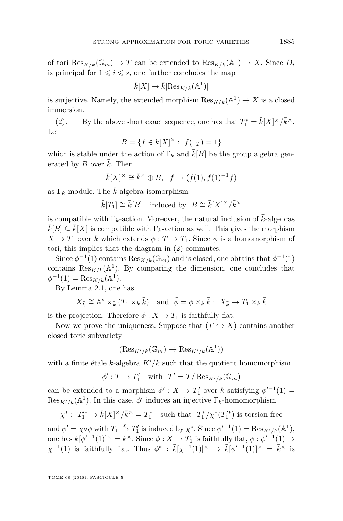of tori  $\text{Res}_{K/k}(\mathbb{G}_m) \to T$  can be extended to  $\text{Res}_{K/k}(\mathbb{A}^1) \to X$ . Since  $D_i$ is principal for  $1 \leq i \leq s$ , one further concludes the map

$$
\bar{k}[X] \to \bar{k}[\text{Res}_{K/k}(\mathbb{A}^1)]
$$

is surjective. Namely, the extended morphism  $\text{Res}_{K/k}(\mathbb{A}^1) \to X$  is a closed immersion.

[\(2\)](#page-6-2). — By the above short exact sequence, one has that  $T_1^* = \bar{k}[X]^\times/\bar{k}^\times$ . Let

$$
B = \{ f \in \bar{k}[X]^\times : f(1_T) = 1 \}
$$

which is stable under the action of  $\Gamma_k$  and  $k[B]$  be the group algebra generated by *B* over  $\bar{k}$ . Then

$$
\bar{k}[X]^\times \cong \bar{k}^\times \oplus B, \quad f \mapsto (f(1), f(1)^{-1}f)
$$

as  $\Gamma_k$ -module. The *k*-algebra isomorphism

 $\bar{k}[T_1] \cong \bar{k}[B]$  induced by  $B \cong \bar{k}[X]^\times / \bar{k}^\times$ 

is compatible with  $\Gamma_k$ -action. Moreover, the natural inclusion of  $k$ -algebras  $k[B] \subseteq k[X]$  is compatible with  $\Gamma_k$ -action as well. This gives the morphism  $X \to T_1$  over *k* which extends  $\phi: T \to T_1$ . Since  $\phi$  is a homomorphism of tori, this implies that the diagram in [\(2\)](#page-6-2) commutes.

Since  $\phi^{-1}(1)$  contains  $\text{Res}_{K/k}(\mathbb{G}_m)$  and is closed, one obtains that  $\phi^{-1}(1)$ contains  $\operatorname{Res}_{K/k}(\mathbb{A}^1)$ . By comparing the dimension, one concludes that  $\phi^{-1}(1) = \text{Res}_{K/k}(\mathbb{A}^1).$ 

By Lemma [2.1,](#page-4-1) one has

$$
X_{\bar{k}} \cong \mathbb{A}^s \times_{\bar{k}} (T_1 \times_k \bar{k}) \quad \text{and} \quad \bar{\phi} = \phi \times_k \bar{k}: \ X_{\bar{k}} \to T_1 \times_k \bar{k}
$$

is the projection. Therefore  $\phi: X \to T_1$  is faithfully flat.

Now we prove the uniqueness. Suppose that  $(T \hookrightarrow X)$  contains another closed toric subvariety

$$
(\text{Res}_{K'/k}(\mathbb{G}_m) \hookrightarrow \text{Res}_{K'/k}(\mathbb{A}^1))
$$

with a finite étale *k*-algebra  $K'/k$  such that the quotient homomorphism

$$
\phi': T \to T'_1 \quad \text{with} \quad T'_1 = T / \operatorname{Res}_{K'/k}(\mathbb{G}_m)
$$

can be extended to a morphism  $\phi' : X \to T'_1$  over *k* satisfying  $\phi'^{-1}(1) =$  $\text{Res}_{K'/k}(\mathbb{A}^1)$ . In this case,  $\phi'$  induces an injective  $\Gamma_k$ -homomorphism

 $\chi^*$ :  $T_1^{\prime *} \to \bar{k}[X]^\times/\bar{k}^\times = T_1^*$  such that  $T_1^*/\chi^*(T_1^{\prime *})$  is torsion free

and  $\phi' = \chi \circ \phi$  with  $T_1 \stackrel{\chi}{\to} T_1'$  is induced by  $\chi^*$ . Since  $\phi'^{-1}(1) = \text{Res}_{K'/k}(\mathbb{A}^1)$ , one has  $\bar{k}[\phi'^{-1}(1)]^{\times} = \bar{k}^{\times}$ . Since  $\phi: X \to T_1$  is faithfully flat,  $\phi: \phi'^{-1}(1) \to$  $\chi^{-1}(1)$  is faithfully flat. Thus  $\phi^*$ :  $\bar{k}[\chi^{-1}(1)]^\times \to \bar{k}[\phi'^{-1}(1)]^\times = \bar{k}^\times$  is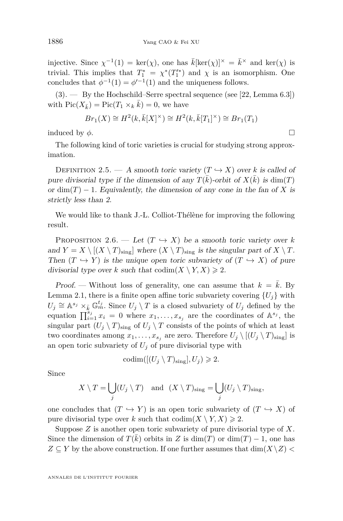injective. Since  $\chi^{-1}(1) = \ker(\chi)$ , one has  $\bar{k}[\ker(\chi)]^{\times} = \bar{k}^{\times}$  and  $\ker(\chi)$  is trivial. This implies that  $T_1^* = \chi^*(T_1'^*)$  and  $\chi$  is an isomorphism. One concludes that  $\phi^{-1}(1) = \phi'^{-1}(1)$  and the uniqueness follows.

 $(3).$  $(3).$  — By the Hochschild–Serre spectral sequence (see [\[22,](#page-30-5) Lemma 6.3]) with  $Pic(X_{\bar{k}}) = Pic(T_1 \times_k \bar{k}) = 0$ , we have

$$
Br_1(X) \cong H^2(k, \overline{k}[X]^\times) \cong H^2(k, \overline{k}[T_1]^\times) \cong Br_1(T_1)
$$

induced by  $\phi$ .

The following kind of toric varieties is crucial for studying strong approximation.

<span id="page-8-0"></span>DEFINITION 2.5. — A smooth toric variety  $(T \hookrightarrow X)$  over *k* is called of pure divisorial type if the dimension of any  $T(\bar{k})$ -orbit of  $X(\bar{k})$  is  $\dim(T)$ or  $\dim(T) - 1$ . Equivalently, the dimension of any cone in the fan of X is strictly less than 2.

We would like to thank J.-L. Colliot-Thélène for improving the following result.

<span id="page-8-1"></span>PROPOSITION 2.6. — Let  $(T \hookrightarrow X)$  be a smooth toric variety over *k* and  $Y = X \setminus [(X \setminus T)_{\text{sing}}]$  where  $(X \setminus T)_{\text{sing}}$  is the singular part of  $X \setminus T$ . Then  $(T \hookrightarrow Y)$  is the unique open toric subvariety of  $(T \hookrightarrow X)$  of pure divisorial type over *k* such that  $\text{codim}(X \setminus Y, X) \geq 2$ .

Proof. — Without loss of generality, one can assume that  $k = \bar{k}$ . By Lemma [2.1,](#page-4-1) there is a finite open affine toric subvariety covering  ${U_j}$  with  $U_j \cong \mathbb{A}^{s_j} \times_{\bar{k}} \mathbb{G}_m^{t_j}$ . Since  $U_j \setminus T$  is a closed subvariety of  $U_j$  defined by the equation  $\prod_{i=1}^{s_j} x_i = 0$  where  $x_1, \ldots, x_{s_j}$  are the coordinates of  $\mathbb{A}^{s_j}$ , the singular part  $(U_j \setminus T)_{\text{sing}}$  of  $U_j \setminus T$  consists of the points of which at least two coordinates among  $x_1, \ldots, x_{s_j}$  are zero. Therefore  $U_j \setminus [(U_j \setminus T)_{\text{sing}}]$  is an open toric subvariety of  $U_j$  of pure divisorial type with

$$
\mathrm{codim}([(U_j\setminus T)_{\mathrm{sing}}], U_j)\geqslant 2.
$$

Since

$$
X \setminus T = \bigcup_j (U_j \setminus T) \quad \text{and} \quad (X \setminus T)_{\text{sing}} = \bigcup_j (U_j \setminus T)_{\text{sing}},
$$

one concludes that  $(T \hookrightarrow Y)$  is an open toric subvariety of  $(T \hookrightarrow X)$  of pure divisorial type over *k* such that  $\operatorname{codim}(X \setminus Y, X) \geq 2$ .

Suppose *Z* is another open toric subvariety of pure divisorial type of *X*. Since the dimension of  $T(\bar{k})$  orbits in *Z* is dim(*T*) or dim(*T*) − 1, one has  $Z \subseteq Y$  by the above construction. If one further assumes that  $\dim(X \setminus Z)$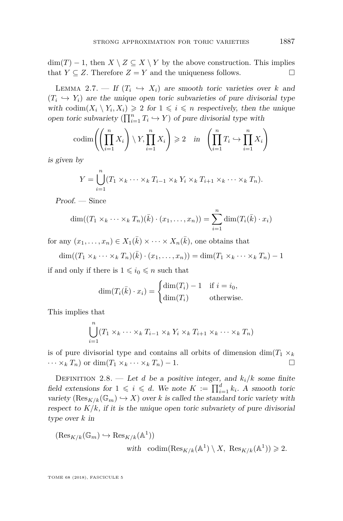$\dim(T) - 1$ , then  $X \setminus Z \subseteq X \setminus Y$  by the above construction. This implies that *Y*  $\subseteq$  *Z*. Therefore *Z* = *Y* and the uniqueness follows.

<span id="page-9-1"></span>LEMMA 2.7. — If  $(T_i \leftrightarrow X_i)$  are smooth toric varieties over *k* and  $(T_i \leftrightarrow Y_i)$  are the unique open toric subvarieties of pure divisorial type with codim $(X_i \setminus Y_i, X_i) \geq 2$  for  $1 \leq i \leq n$  respectively, then the unique open toric subvariety  $(\prod_{i=1}^n T_i \hookrightarrow Y)$  of pure divisorial type with

$$
\operatorname{codim}\left(\left(\prod_{i=1}^{n} X_{i}\right) \setminus Y, \prod_{i=1}^{n} X_{i}\right) \geqslant 2 \quad \text{in} \quad \left(\prod_{i=1}^{n} T_{i} \hookrightarrow \prod_{i=1}^{n} X_{i}\right)
$$

is given by

$$
Y = \bigcup_{i=1}^{n} (T_1 \times_k \cdots \times_k T_{i-1} \times_k Y_i \times_k T_{i+1} \times_k \cdots \times_k T_n).
$$

Proof. — Since

$$
\dim((T_1 \times_k \cdots \times_k T_n)(\bar{k}) \cdot (x_1, \ldots, x_n)) = \sum_{i=1}^n \dim(T_i(\bar{k}) \cdot x_i)
$$

for any  $(x_1, \ldots, x_n) \in X_1(\bar{k}) \times \cdots \times X_n(\bar{k})$ , one obtains that

$$
\dim((T_1 \times_k \cdots \times_k T_n)(\bar{k}) \cdot (x_1, \ldots, x_n)) = \dim(T_1 \times_k \cdots \times_k T_n) - 1
$$

if and only if there is  $1 \leq i_0 \leq n$  such that

$$
\dim(T_i(\bar{k}) \cdot x_i) = \begin{cases} \dim(T_i) - 1 & \text{if } i = i_0, \\ \dim(T_i) & \text{otherwise.} \end{cases}
$$

This implies that

$$
\bigcup_{i=1}^{n} (T_1 \times_k \cdots \times_k T_{i-1} \times_k Y_i \times_k T_{i+1} \times_k \cdots \times_k T_n)
$$

is of pure divisorial type and contains all orbits of dimension dim $(T_1 \times_k$  $\cdots \times_k T_n$  or dim( $T_1 \times_k \cdots \times_k T_n$ ) − 1.

<span id="page-9-0"></span>DEFINITION 2.8. — Let *d* be a positive integer, and  $k_i/k$  some finite field extensions for  $1 \leqslant i \leqslant d$ . We note  $K := \prod_{i=1}^d k_i$ . A smooth toric variety  $(\text{Res}_{K/k}(\mathbb{G}_m) \hookrightarrow X)$  over *k* is called the standard toric variety with respect to  $K/k$ , if it is the unique open toric subvariety of pure divisorial type over *k* in

$$
(\text{Res}_{K/k}(\mathbb{G}_m) \hookrightarrow \text{Res}_{K/k}(\mathbb{A}^1))
$$
  
with 
$$
\text{codim}(\text{Res}_{K/k}(\mathbb{A}^1) \setminus X, \text{ Res}_{K/k}(\mathbb{A}^1)) \ge 2.
$$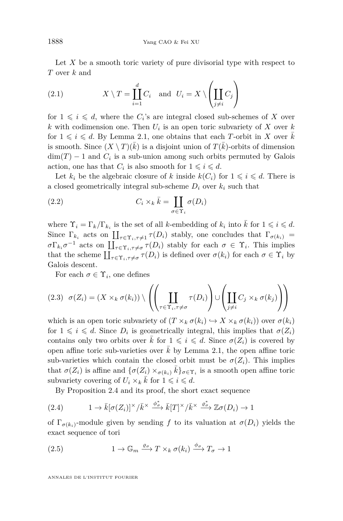Let X be a smooth toric variety of pure divisorial type with respect to *T* over *k* and

<span id="page-10-1"></span>(2.1) 
$$
X \setminus T = \coprod_{i=1}^{d} C_i \text{ and } U_i = X \setminus \left( \coprod_{j \neq i} C_j \right)
$$

for  $1 \leqslant i \leqslant d$ , where the  $C_i$ 's are integral closed sub-schemes of *X* over *k* with codimension one. Then *U<sup>i</sup>* is an open toric subvariety of *X* over *k* for  $1 \leq i \leq d$ . By Lemma [2.1,](#page-4-1) one obtains that each *T*-orbit in *X* over *k* is smooth. Since  $(X \setminus T)(\bar{k})$  is a disjoint union of  $T(\bar{k})$ -orbits of dimension  $\dim(T) - 1$  and  $C_i$  is a sub-union among such orbits permuted by Galois action, one has that  $C_i$  is also smooth for  $1 \leq i \leq d$ .

Let  $k_i$  be the algebraic closure of k inside  $k(C_i)$  for  $1 \leq i \leq d$ . There is a closed geometrically integral sub-scheme  $D_i$  over  $k_i$  such that

(2.2) 
$$
C_i \times_k \bar{k} = \coprod_{\sigma \in \Upsilon_i} \sigma(D_i)
$$

where  $\Upsilon_i = \Gamma_k / \Gamma_{k_i}$  is the set of all *k*-embedding of  $k_i$  into  $\overline{k}$  for  $1 \leq i \leq d$ . Since  $\Gamma_{k_i}$  acts on  $\prod_{\tau \in \Upsilon_i, \tau \neq 1} \tau(D_i)$  stably, one concludes that  $\Gamma_{\sigma(k_i)} =$  $\sigma \Gamma_{k_i} \sigma^{-1}$  acts on  $\prod_{\tau \in \Upsilon_i, \tau \neq \sigma} \tau(D_i)$  stably for each  $\sigma \in \Upsilon_i$ . This implies that the scheme  $\prod_{\tau \in \Upsilon_i, \tau \neq \sigma} \tau(D_i)$  is defined over  $\sigma(k_i)$  for each  $\sigma \in \Upsilon_i$  by Galois descent.

For each  $\sigma \in \Upsilon_i$ , one defines

<span id="page-10-2"></span>
$$
(2.3) \quad \sigma(Z_i) = (X \times_k \sigma(k_i)) \setminus \left( \left( \prod_{\tau \in \Upsilon_i, \tau \neq \sigma} \tau(D_i) \right) \cup \left( \prod_{j \neq i} C_j \times_k \sigma(k_j) \right) \right)
$$

which is an open toric subvariety of  $(T \times_k \sigma(k_i) \hookrightarrow X \times_k \sigma(k_i))$  over  $\sigma(k_i)$ for  $1 \leq i \leq d$ . Since  $D_i$  is geometrically integral, this implies that  $\sigma(Z_i)$ contains only two orbits over  $\bar{k}$  for  $1 \leqslant i \leqslant d$ . Since  $\sigma(Z_i)$  is covered by open affine toric sub-varieties over  $k$  by Lemma [2.1,](#page-4-1) the open affine toric sub-varieties which contain the closed orbit must be  $\sigma(Z_i)$ . This implies that  $\sigma(Z_i)$  is affine and  $\{\sigma(Z_i) \times_{\sigma(k_i)} \bar{k}\}_{\sigma \in \Upsilon_i}$  is a smooth open affine toric subvariety covering of  $U_i \times_k \overline{k}$  for  $1 \leqslant i \leqslant d$ .

<span id="page-10-0"></span>By Proposition [2.4](#page-6-0) and its proof, the short exact sequence

(2.4) 
$$
1 \to \bar{k} [\sigma(Z_i)]^{\times} / \bar{k}^{\times} \xrightarrow{\phi_{\sigma}^*} \bar{k}[T]^{\times} / \bar{k}^{\times} \xrightarrow{\varrho_{\sigma}^*} \mathbb{Z} \sigma(D_i) \to 1
$$

of  $\Gamma_{\sigma(k_i)}$ -module given by sending f to its valuation at  $\sigma(D_i)$  yields the exact sequence of tori

<span id="page-10-3"></span>(2.5) 
$$
1 \to \mathbb{G}_m \xrightarrow{\varrho_\sigma} T \times_k \sigma(k_i) \xrightarrow{\phi_\sigma} T_\sigma \to 1
$$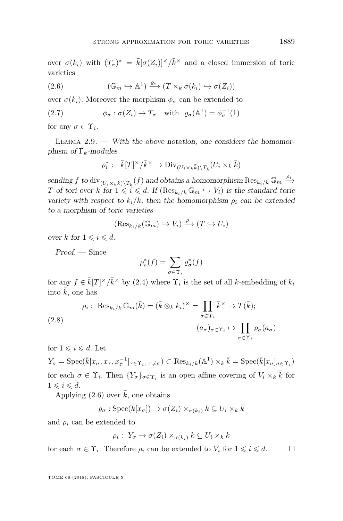over  $\sigma(k_i)$  with  $(T_{\sigma})^* = \bar{k}[\sigma(Z_i)]^{\times}/\bar{k}^{\times}$  and a closed immersion of toric varieties

<span id="page-11-0"></span>(2.6) 
$$
(\mathbb{G}_m \hookrightarrow \mathbb{A}^1) \xrightarrow{\varrho_\sigma} (T \times_k \sigma(k_i) \hookrightarrow \sigma(Z_i))
$$

over  $\sigma(k_i)$ . Moreover the morphism  $\phi_{\sigma}$  can be extended to

(2.7) 
$$
\phi_{\sigma} : \sigma(Z_i) \to T_{\sigma} \text{ with } \varrho_{\sigma}(\mathbb{A}^1) = \phi_{\sigma}^{-1}(1)
$$

for any  $\sigma \in \Upsilon_i$ .

<span id="page-11-1"></span>LEMMA  $2.9.$  — With the above notation, one considers the homomorphism of Γ*k*-modules

<span id="page-11-2"></span>
$$
\rho_i^* : \quad \bar{k}[T]^\times / \bar{k}^\times \to \text{Div}_{(U_i \times_k \bar{k}) \setminus T_{\bar{k}}}(U_i \times_k \bar{k})
$$

 $\mathcal{S}$  sending  $f$  to  $\text{div}_{(U_i \times_k \bar{k}) \setminus T_{\bar{k}}}(f)$  and obtains a homomorphism  $\text{Res}_{k_i/k} \mathbb{G}_m \xrightarrow{\rho_i}$ *T* of tori over *k* for  $1 \leqslant i \leqslant d$ . If  $(\text{Res}_{k_i/k} \mathbb{G}_m \hookrightarrow V_i)$  is the standard toric variety with respect to  $k_i/k$ , then the homomorphism  $\rho_i$  can be extended to a morphism of toric varieties

$$
(\text{Res}_{k_i/k}(\mathbb{G}_m) \hookrightarrow V_i) \xrightarrow{\rho_i} (T \hookrightarrow U_i)
$$

over *k* for  $1 \leq i \leq d$ .

Proof. — Since

$$
\rho_i^*(f) = \sum_{\sigma \in \Upsilon_i} \varrho_{\sigma}^*(f)
$$

for any  $f \in \overline{k}[T]^{\times}/\overline{k}^{\times}$  by [\(2.4\)](#page-10-0) where  $\Upsilon_i$  is the set of all *k*-embedding of  $k_i$ into  $\bar{k}$ , one has

<span id="page-11-3"></span>(2.8)  
\n
$$
\rho_i: \operatorname{Res}_{k_i/k} \mathbb{G}_m(\bar{k}) = (\bar{k} \otimes_k k_i)^{\times} = \prod_{\sigma \in \Upsilon_i} \bar{k}^{\times} \to T(\bar{k});
$$
\n
$$
(a_{\sigma})_{\sigma \in \Upsilon_i} \mapsto \prod_{\sigma \in \Upsilon_i} \varrho_{\sigma}(a_{\sigma})
$$

for  $1 \leq i \leq d$ . Let

 $Y_{\sigma} = \text{Spec}(\bar{k}[x_{\sigma}, x_{\tau}, x_{\tau}^{-1}]_{\tau \in \Upsilon_i; \ \tau \neq \sigma}) \subset \text{Res}_{k_i/k}(\mathbb{A}^1) \times_k \bar{k} = \text{Spec}(\bar{k}[x_{\sigma}]_{\sigma \in \Upsilon_i})$ for each  $\sigma \in \Upsilon_i$ . Then  $\{Y_{\sigma}\}_{{\sigma \in \Upsilon_i}}$  is an open affine covering of  $V_i \times_k \overline{k}$  for  $1 \leqslant i \leqslant d$ .

Applying  $(2.6)$  over  $\overline{k}$ , one obtains

$$
\varrho_{\sigma} : \operatorname{Spec}(\bar{k}[x_{\sigma}]) \to \sigma(Z_i) \times_{\sigma(k_i)} \bar{k} \subseteq U_i \times_k \bar{k}
$$

and  $\rho_i$  can be extended to

$$
\rho_i: Y_{\sigma} \to \sigma(Z_i) \times_{\sigma(k_i)} \bar{k} \subseteq U_i \times_k \bar{k}
$$

for each  $\sigma \in \Upsilon_i$ . Therefore  $\rho_i$  can be extended to  $V_i$  for  $1 \leq i \leq d$ .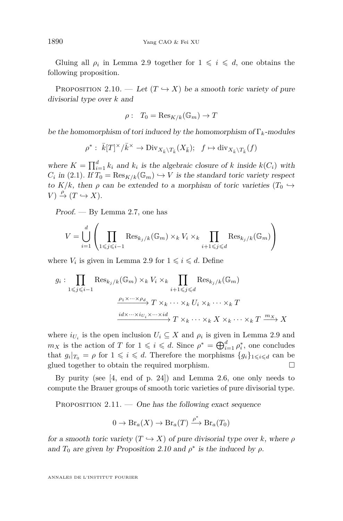Gluing all  $\rho_i$  in Lemma [2.9](#page-11-1) together for  $1 \leq i \leq d$ , one obtains the following proposition.

<span id="page-12-0"></span>PROPOSITION 2.10. — Let  $(T \hookrightarrow X)$  be a smooth toric variety of pure divisorial type over *k* and

$$
\rho: T_0 = \text{Res}_{K/k}(\mathbb{G}_m) \to T
$$

be the homomorphism of tori induced by the homomorphism of Γ*k*-modules

$$
\rho^* : \bar{k}[T]^\times/\bar{k}^\times \to \text{Div}_{X_{\bar{k}} \backslash T_{\bar{k}}}(X_{\bar{k}}); \quad f \mapsto \text{div}_{X_{\bar{k}} \backslash T_{\bar{k}}}(f)
$$

where  $K = \prod_{i=1}^{d} k_i$  and  $k_i$  is the algebraic closure of *k* inside  $k(C_i)$  with  $C_i$  in [\(2.1\)](#page-10-1). If  $T_0 = \text{Res}_{K/k}(\mathbb{G}_m) \hookrightarrow V$  is the standard toric variety respect to  $K/k$ , then  $\rho$  can be extended to a morphism of toric varieties  $(T_0 \hookrightarrow$  $V) \stackrel{\rho}{\rightarrow} (T \hookrightarrow X).$ 

Proof. — By Lemma [2.7,](#page-9-1) one has

$$
V = \bigcup_{i=1}^{d} \left( \prod_{1 \leq j \leq i-1} \text{Res}_{k_j/k}(\mathbb{G}_m) \times_k V_i \times_k \prod_{i+1 \leq j \leq d} \text{Res}_{k_j/k}(\mathbb{G}_m) \right)
$$

where  $V_i$  is given in Lemma [2.9](#page-11-1) for  $1 \leq i \leq d$ . Define

$$
g_i: \prod_{1 \leq j \leq i-1} \text{Res}_{k_j/k}(\mathbb{G}_m) \times_k V_i \times_k \prod_{i+1 \leq j \leq d} \text{Res}_{k_j/k}(\mathbb{G}_m)
$$

$$
\xrightarrow[\text{max} \to \infty]{\rho_1 \times \dots \times \rho_d} T \times_k \dots \times_k U_i \times_k \dots \times_k T
$$

$$
\xrightarrow{id \times \dots \times i_{U_i} \times \dots \times id} T \times_k \dots \times_k X \times_k \dots \times_k T \xrightarrow{m_X} X
$$

where  $i_{U_i}$  is the open inclusion  $U_i \subseteq X$  and  $\rho_i$  is given in Lemma [2.9](#page-11-1) and *m<sub>X</sub>* is the action of *T* for  $1 \leq i \leq d$ . Since  $\rho^* = \bigoplus_{i=1}^d \rho_i^*$ , one concludes that  $g_i|_{T_0} = \rho$  for  $1 \leq i \leq d$ . Therefore the morphisms  $\{g_i\}_{1 \leq i \leq d}$  can be glued together to obtain the required morphism.

By purity (see [\[4,](#page-29-11) end of p. 24]) and Lemma [2.6,](#page-8-1) one only needs to compute the Brauer groups of smooth toric varieties of pure divisorial type.

<span id="page-12-1"></span>PROPOSITION  $2.11.$  — One has the following exact sequence

$$
0 \to \text{Br}_a(X) \to \text{Br}_a(T) \xrightarrow{\rho^*} \text{Br}_a(T_0)
$$

for a smooth toric variety  $(T \hookrightarrow X)$  of pure divisorial type over *k*, where  $\rho$ and  $T_0$  are given by Proposition [2.10](#page-12-0) and  $\rho^*$  is the induced by  $\rho$ .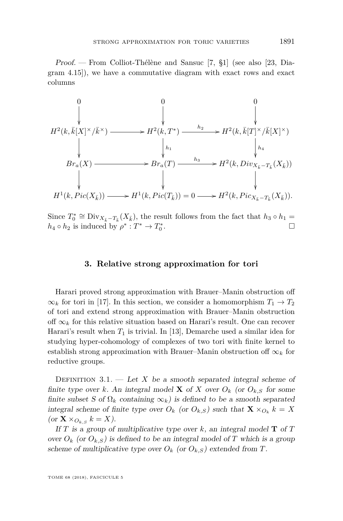Proof. — From Colliot-Thélène and Sansuc [\[7,](#page-29-12) §1] (see also [\[23,](#page-30-6) Diagram 4.15]), we have a commutative diagram with exact rows and exact columns

$$
H^{2}(k, \bar{k}[X]^{\times}/\bar{k}^{\times}) \longrightarrow H^{2}(k, T^{*}) \longrightarrow H^{2}(k, \bar{k}[T]^{\times}/\bar{k}[X]^{\times})
$$
\n
$$
\downarrow \qquad \qquad \downarrow h_{1} \qquad \qquad \downarrow h_{4}
$$
\n
$$
Br_{a}(X) \longrightarrow Br_{a}(T) \longrightarrow h_{3} \longrightarrow H^{2}(k, Div_{X_{\bar{k}}-T_{\bar{k}}}(X_{\bar{k}}))
$$
\n
$$
\downarrow \qquad \qquad \downarrow h_{4}
$$
\n
$$
H^{1}(k, Pic(X_{\bar{k}})) \longrightarrow H^{1}(k, Pic(T_{\bar{k}})) = 0 \longrightarrow H^{2}(k, Pic_{X_{\bar{k}}-T_{\bar{k}}}(X_{\bar{k}})).
$$

Since  $T_0^* \cong \text{Div}_{X_{\bar{k}}-T_{\bar{k}}}(X_{\bar{k}})$ , the result follows from the fact that  $h_3 \circ h_1 =$  $h_4 \circ h_2$  is induced by  $\rho^* : T^* \to T_0^*$ . В последните поставите на примерение и производите на примерение и производите на примерение и при<br>В село в село в село в село в село в село в село в село в село в село в село в село в село в село в село в сел

#### **3. Relative strong approximation for tori**

<span id="page-13-0"></span>Harari proved strong approximation with Brauer–Manin obstruction off  $\infty_k$  for tori in [\[17\]](#page-30-0). In this section, we consider a homomorphism  $T_1 \to T_2$ of tori and extend strong approximation with Brauer–Manin obstruction off  $\infty_k$  for this relative situation based on Harari's result. One can recover Harari's result when *T*<sup>1</sup> is trivial. In [\[13\]](#page-29-2), Demarche used a similar idea for studying hyper-cohomology of complexes of two tori with finite kernel to establish strong approximation with Brauer–Manin obstruction of  $\infty_k$  for reductive groups.

DEFINITION  $3.1.$  — Let *X* be a smooth separated integral scheme of finite type over k. An integral model **X** of X over  $O_k$  (or  $O_{k,S}$  for some finite subset S of  $\Omega_k$  containing  $\infty_k$ ) is defined to be a smooth separated integral scheme of finite type over  $O_k$  (or  $O_{k,S}$ ) such that  $\mathbf{X} \times_{O_k} k = X$  $(\text{or } \mathbf{X} \times_{O_k} k = X).$ 

If *T* is a group of multiplicative type over *k*, an integral model **T** of *T* over  $O_k$  (or  $O_{k,S}$ ) is defined to be an integral model of *T* which is a group scheme of multiplicative type over  $O_k$  (or  $O_{k,S}$ ) extended from *T*.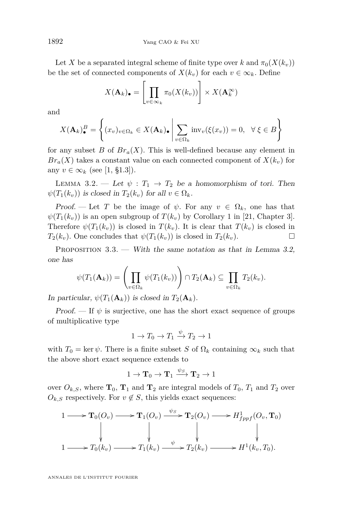Let *X* be a separated integral scheme of finite type over *k* and  $\pi_0(X(k_v))$ be the set of connected components of  $X(k_v)$  for each  $v \in \infty_k$ . Define

$$
X(\mathbf{A}_k)_{\bullet} = \left[ \prod_{v \in \infty_k} \pi_0(X(k_v)) \right] \times X(\mathbf{A}_k^{\infty})
$$

and

$$
X(\mathbf{A}_k)_\bullet^B = \left\{ (x_v)_{v \in \Omega_k} \in X(\mathbf{A}_k)_\bullet \mid \sum_{v \in \Omega_k} \text{inv}_v(\xi(x_v)) = 0, \ \ \forall \ \xi \in B \right\}
$$

for any subset *B* of  $Br_a(X)$ . This is well-defined because any element in  $Br_a(X)$  takes a constant value on each connected component of  $X(k_v)$  for any  $v \in \infty_k$  (see [\[1,](#page-29-1) §1.3]).

<span id="page-14-0"></span>LEMMA 3.2. — Let  $\psi : T_1 \to T_2$  be a homomorphism of tori. Then  $\psi(T_1(k_v))$  is closed in  $T_2(k_v)$  for all  $v \in \Omega_k$ .

Proof. — Let *T* be the image of  $\psi$ . For any  $v \in \Omega_k$ , one has that  $\psi(T_1(k_v))$  is an open subgroup of  $T(k_v)$  by Corollary 1 in [\[21,](#page-30-7) Chapter 3]. Therefore  $\psi(T_1(k_v))$  is closed in  $T(k_v)$ . It is clear that  $T(k_v)$  is closed in  $T_2(k_v)$ . One concludes that  $\psi(T_1(k_v))$  is closed in  $T_2(k_v)$ .

PROPOSITION  $3.3.$  — With the same notation as that in Lemma [3.2,](#page-14-0) one has

$$
\psi(T_1(\mathbf{A}_k)) = \left(\prod_{v \in \Omega_k} \psi(T_1(k_v))\right) \cap T_2(\mathbf{A}_k) \subseteq \prod_{v \in \Omega_k} T_2(k_v).
$$

In particular,  $\psi(T_1(\mathbf{A}_k))$  is closed in  $T_2(\mathbf{A}_k)$ .

Proof. — If  $\psi$  is surjective, one has the short exact sequence of groups of multiplicative type

$$
1 \to T_0 \to T_1 \xrightarrow{\psi} T_2 \to 1
$$

with  $T_0 = \ker \psi$ . There is a finite subset *S* of  $\Omega_k$  containing  $\infty_k$  such that the above short exact sequence extends to

$$
1 \to \mathbf{T}_0 \to \mathbf{T}_1 \xrightarrow{\psi_S} \mathbf{T}_2 \to 1
$$

over  $O_{k,S}$ , where  $\mathbf{T}_0$ ,  $\mathbf{T}_1$  and  $\mathbf{T}_2$  are integral models of  $T_0$ ,  $T_1$  and  $T_2$  over  $O_{k,S}$  respectively. For  $v \notin S$ , this yields exact sequences:

$$
\begin{array}{ccc}\n1 & \longrightarrow & \mathbf{T}_0(O_v) \longrightarrow & \mathbf{T}_1(O_v) \xrightarrow{\psi_S} & \mathbf{T}_2(O_v) \longrightarrow & H^1_{fppf}(O_v, \mathbf{T}_0) \\
\downarrow & & \downarrow & & \downarrow & & \downarrow & \\
1 & \longrightarrow & T_0(k_v) \longrightarrow & T_1(k_v) \xrightarrow{\psi} & T_2(k_v) \longrightarrow & H^1(k_v, T_0).\n\end{array}
$$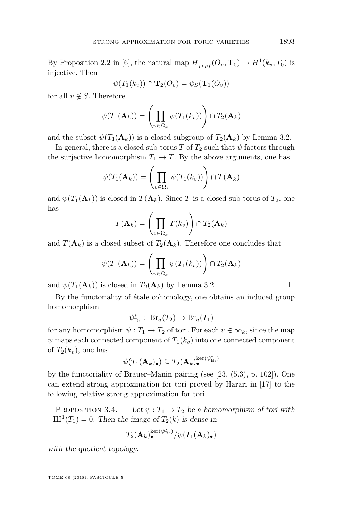By Proposition 2.2 in [\[6\]](#page-29-13), the natural map  $H_{fppf}^1(O_v, \mathbf{T}_0) \to H^1(k_v, T_0)$  is injective. Then

$$
\psi(T_1(k_v)) \cap \mathbf{T}_2(O_v) = \psi_S(\mathbf{T}_1(O_v))
$$

for all  $v \notin S$ . Therefore

$$
\psi(T_1(\mathbf{A}_k)) = \left(\prod_{v \in \Omega_k} \psi(T_1(k_v))\right) \cap T_2(\mathbf{A}_k)
$$

and the subset  $\psi(T_1(\mathbf{A}_k))$  is a closed subgroup of  $T_2(\mathbf{A}_k)$  by Lemma [3.2.](#page-14-0)

In general, there is a closed sub-torus *T* of  $T_2$  such that  $\psi$  factors through the surjective homomorphism  $T_1 \rightarrow T$ . By the above arguments, one has

$$
\psi(T_1(\mathbf{A}_k)) = \left(\prod_{v \in \Omega_k} \psi(T_1(k_v))\right) \cap T(\mathbf{A}_k)
$$

and  $\psi(T_1(\mathbf{A}_k))$  is closed in  $T(\mathbf{A}_k)$ . Since T is a closed sub-torus of  $T_2$ , one has

$$
T(\mathbf{A}_k) = \left(\prod_{v \in \Omega_k} T(k_v)\right) \cap T_2(\mathbf{A}_k)
$$

and  $T(\mathbf{A}_k)$  is a closed subset of  $T_2(\mathbf{A}_k)$ . Therefore one concludes that

$$
\psi(T_1(\mathbf{A}_k)) = \left(\prod_{v \in \Omega_k} \psi(T_1(k_v))\right) \cap T_2(\mathbf{A}_k)
$$

and  $\psi(T_1(\mathbf{A}_k))$  is closed in  $T_2(\mathbf{A}_k)$  by Lemma [3.2.](#page-14-0)

By the functoriality of étale cohomology, one obtains an induced group homomorphism

$$
\psi_{\text{Br}}^* : \ \text{Br}_a(T_2) \to \text{Br}_a(T_1)
$$

for any homomorphism  $\psi : T_1 \to T_2$  of tori. For each  $v \in \infty_k$ , since the map  $\psi$  maps each connected component of  $T_1(k_v)$  into one connected component of  $T_2(k_v)$ , one has

$$
\psi(T_1(\mathbf A_k)_{\bullet})\subseteq T_2(\mathbf A_k)_{\bullet}^{{\rm ker}(\psi^*_{\mathrm{Br}})}
$$

by the functoriality of Brauer–Manin pairing (see [\[23,](#page-30-6) (5.3), p. 102]). One can extend strong approximation for tori proved by Harari in [\[17\]](#page-30-0) to the following relative strong approximation for tori.

<span id="page-15-0"></span>PROPOSITION 3.4. — Let  $\psi: T_1 \to T_2$  be a homomorphism of tori with  $III<sup>1</sup>(T<sub>1</sub>) = 0$ . Then the image of  $T<sub>2</sub>(k)$  is dense in

$$
T_2(\mathbf{A}_k)_\bullet^{\mathrm{ker}(\psi^*_{\mathrm{Br}})} / \psi(T_1(\mathbf{A}_k)_\bullet)
$$

with the quotient topology.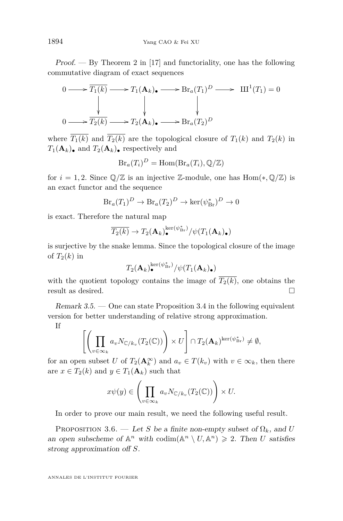$Proof.$  — By Theorem 2 in [\[17\]](#page-30-0) and functoriality, one has the following commutative diagram of exact sequences

$$
0 \longrightarrow \overline{T_1(k)} \longrightarrow T_1(\mathbf{A}_k) \longrightarrow \text{Br}_a(T_1)^D \longrightarrow \text{III}^1(T_1) = 0
$$
  
\n
$$
\downarrow \qquad \qquad \downarrow \qquad \qquad \downarrow
$$
  
\n
$$
0 \longrightarrow \overline{T_2(k)} \longrightarrow T_2(\mathbf{A}_k) \longrightarrow \text{Br}_a(T_2)^D
$$

where  $\overline{T_1(k)}$  and  $\overline{T_2(k)}$  are the topological closure of  $T_1(k)$  and  $T_2(k)$  in  $T_1(\mathbf{A}_k)$ • and  $T_2(\mathbf{A}_k)$ • respectively and

$$
Br_a(T_i)^D = \text{Hom}(\text{Br}_a(T_i), \mathbb{Q}/\mathbb{Z})
$$

for  $i = 1, 2$ . Since  $\mathbb{Q}/\mathbb{Z}$  is an injective Z-module, one has Hom $(*, \mathbb{Q}/\mathbb{Z})$  is an exact functor and the sequence

$$
Br_a(T_1)^D \to Br_a(T_2)^D \to \ker(\psi_{Br}^*)^D \to 0
$$

is exact. Therefore the natural map

$$
\overline{T_2(k)} \to T_2(\mathbf{A}_k)^{\ker(\psi_{\mathrm{Br}}^*)}_{\bullet}/\psi(T_1(\mathbf{A}_k)_{\bullet})
$$

is surjective by the snake lemma. Since the topological closure of the image of  $T_2(k)$  in

$$
T_2(\mathbf{A}_k)^{\mathrm{ker}(\psi^*_{\mathrm{Br}})}_{{\bullet}}/\psi(T_1(\mathbf{A}_k)_{\bullet})
$$

with the quotient topology contains the image of  $\overline{T_2(k)}$ , one obtains the result as desired.  $\hfill \square$ 

<span id="page-16-1"></span>Remark  $3.5.$  — One can state Proposition [3.4](#page-15-0) in the following equivalent version for better understanding of relative strong approximation.

If

$$
\left[\left(\prod_{v\in\infty_k} a_v N_{\mathbb{C}/k_v}(T_2(\mathbb{C}))\right)\times U\right] \cap T_2(\mathbf{A}_k)^{\ker(\psi^*_{\mathrm{Br}})} \neq \emptyset,
$$

for an open subset *U* of  $T_2(\mathbf{A}_k^{\infty})$  and  $a_v \in T(k_v)$  with  $v \in \infty_k$ , then there are  $x \in T_2(k)$  and  $y \in T_1(\mathbf{A}_k)$  such that

$$
x\psi(y)\in \left(\prod_{v\in\infty_k} a_v N_{\mathbb{C}/k_v}(T_2(\mathbb{C}))\right)\times U.
$$

In order to prove our main result, we need the following useful result.

<span id="page-16-0"></span>PROPOSITION 3.6. — Let *S* be a finite non-empty subset of  $\Omega_k$ , and *U* an open subscheme of  $\mathbb{A}^n$  with  $\text{codim}(\mathbb{A}^n \setminus U, \mathbb{A}^n) \geq 2$ . Then *U* satisfies strong approximation off *S*.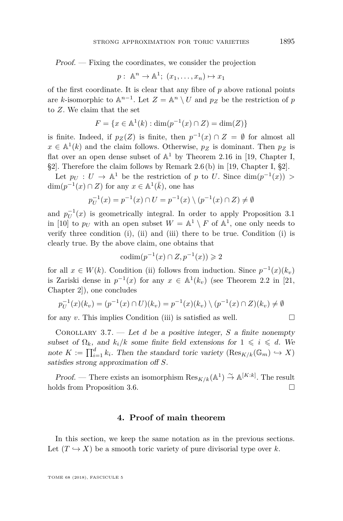Proof. — Fixing the coordinates, we consider the projection

$$
p: \mathbb{A}^n \to \mathbb{A}^1; (x_1, \ldots, x_n) \mapsto x_1
$$

of the first coordinate. It is clear that any fibre of *p* above rational points are *k*-isomorphic to  $\mathbb{A}^{n-1}$ . Let  $Z = \mathbb{A}^n \setminus U$  and  $p_Z$  be the restriction of  $p$ to *Z*. We claim that the set

$$
F = \{ x \in \mathbb{A}^1(k) : \dim(p^{-1}(x) \cap Z) = \dim(Z) \}
$$

is finite. Indeed, if  $p_Z(Z)$  is finite, then  $p^{-1}(x) \cap Z = \emptyset$  for almost all  $x \in \mathbb{A}^1(k)$  and the claim follows. Otherwise,  $p_Z$  is dominant. Then  $p_Z$  is flat over an open dense subset of  $\mathbb{A}^1$  by Theorem 2.16 in [\[19,](#page-30-8) Chapter I, §2]. Therefore the claim follows by Remark 2.6 (b) in [\[19,](#page-30-8) Chapter I, §2].

Let  $p_U: U \to \mathbb{A}^1$  be the restriction of *p* to *U*. Since  $\dim(p^{-1}(x)) >$  $\dim(p^{-1}(x) \cap Z)$  for any  $x \in \mathbb{A}^1(\overline{k})$ , one has

$$
p_U^{-1}(x) = p^{-1}(x) \cap U = p^{-1}(x) \setminus (p^{-1}(x) \cap Z) \neq \emptyset
$$

and  $p_U^{-1}(x)$  is geometrically integral. In order to apply Proposition 3.1 in [\[10\]](#page-29-4) to  $p_U$  with an open subset  $W = \mathbb{A}^1 \setminus F$  of  $\mathbb{A}^1$ , one only needs to verify three condition (i), (ii) and (iii) there to be true. Condition (i) is clearly true. By the above claim, one obtains that

$$
\operatorname{codim}(p^{-1}(x) \cap Z, p^{-1}(x)) \geq 2
$$

for all  $x \in W(k)$ . Condition (ii) follows from induction. Since  $p^{-1}(x)(k_v)$ is Zariski dense in  $p^{-1}(x)$  for any  $x \in \mathbb{A}^1(k_v)$  (see Theorem 2.2 in [\[21,](#page-30-7) Chapter 2]), one concludes

$$
p_U^{-1}(x)(k_v) = (p^{-1}(x) \cap U)(k_v) = p^{-1}(x)(k_v) \setminus (p^{-1}(x) \cap Z)(k_v) \neq \emptyset
$$

for any *v*. This implies Condition (iii) is satisfied as well.

<span id="page-17-0"></span>Corollary 3.7. — Let *d* be a positive integer, *S* a finite nonempty subset of  $\Omega_k$ , and  $k_i/k$  some finite field extensions for  $1 \leq i \leq d$ . We note  $K := \prod_{i=1}^d k_i$ . Then the standard toric variety  $(Res_{K/k}(\mathbb{G}_m) \hookrightarrow X)$ satisfies strong approximation off *S*.

Proof. — There exists an isomorphism  $\text{Res}_{K/k}(\mathbb{A}^1) \overset{\sim}{\to} \mathbb{A}^{[K:k]}$ . The result holds from Proposition [3.6.](#page-16-0)

#### **4. Proof of main theorem**

<span id="page-17-1"></span>In this section, we keep the same notation as in the previous sections. Let  $(T \hookrightarrow X)$  be a smooth toric variety of pure divisorial type over *k*.

$$
\sqcup
$$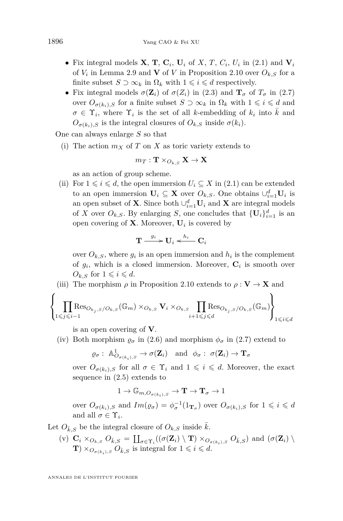- Fix integral models  $\mathbf{X}, \mathbf{T}, \mathbf{C}_i, \mathbf{U}_i$  of  $X, T, C_i, U_i$  in [\(2.1\)](#page-10-1) and  $\mathbf{V}_i$ of  $V_i$  in Lemma [2.9](#page-11-1) and **V** of V in Proposition [2.10](#page-12-0) over  $O_{k,S}$  for a finite subset  $S \supset \infty_k$  in  $\Omega_k$  with  $1 \leq i \leq d$  respectively.
- Fix integral models  $\sigma(\mathbf{Z}_i)$  of  $\sigma(Z_i)$  in [\(2.3\)](#page-10-2) and  $\mathbf{T}_{\sigma}$  of  $T_{\sigma}$  in [\(2.7\)](#page-11-2) over  $O_{\sigma(k_i),S}$  for a finite subset  $S \supset \infty_k$  in  $\Omega_k$  with  $1 \leq i \leq d$  and  $\sigma \in \Upsilon_i$ , where  $\Upsilon_i$  is the set of all *k*-embedding of  $k_i$  into  $\overline{k}$  and  $O_{\sigma(k_i)}$  *s* is the integral closures of  $O_{k_i}$  inside  $\sigma(k_i)$ .

<span id="page-18-0"></span>One can always enlarge *S* so that

(i) The action  $m_X$  of  $T$  on  $X$  as toric variety extends to

$$
m_T:\mathbf{T}\times_{O_{k,S}}\mathbf{X}\rightarrow\mathbf{X}
$$

as an action of group scheme.

<span id="page-18-2"></span>(ii) For  $1 \leq i \leq d$ , the open immersion  $U_i \subseteq X$  in [\(2.1\)](#page-10-1) can be extended to an open immersion  $\mathbf{U}_i \subseteq \mathbf{X}$  over  $O_{k,S}$ . One obtains  $\cup_{i=1}^d \mathbf{U}_i$  is an open subset of **X**. Since both  $\cup_{i=1}^{d}$ **U**<sub>*i*</sub> and **X** are integral models of *X* over  $O_{k,S}$ . By enlarging *S*, one concludes that  ${\{\mathbf{U}_i\}}_{i=1}^d$  is an open covering of **X**. Moreover, **U***<sup>i</sup>* is covered by

$$
\mathbf{T} \overset{g_i}{\longrightarrow} \mathbf{U}_i \overset{h_i}{\longleftarrow} \mathbf{C}_i
$$

over  $O_{k,S}$ , where  $g_i$  is an open immersion and  $h_i$  is the complement of  $g_i$ , which is a closed immersion. Moreover,  $\mathbf{C}_i$  is smooth over  $O_{k,S}$  for  $1 \leqslant i \leqslant d$ .

<span id="page-18-1"></span>(iii) The morphism  $\rho$  in Proposition [2.10](#page-12-0) extends to  $\rho : \mathbf{V} \to \mathbf{X}$  and

$$
\left\{\prod_{1\leqslant j\leqslant i-1}\operatorname{Res}_{O_{k_j,S}/O_{k,S}}(\mathbb{G}_{m})\times_{O_{k,S}}\mathbf{V}_{i}\times_{O_{k,S}}\prod_{i+1\leqslant j\leqslant d}\operatorname{Res}_{O_{k_j,S}/O_{k,S}}(\mathbb{G}_{m})\right\}_{1\leqslant i\leqslant d}
$$

is an open covering of **V**.

<span id="page-18-4"></span>(iv) Both morphism  $\rho_{\sigma}$  in [\(2.6\)](#page-11-0) and morphism  $\phi_{\sigma}$  in [\(2.7\)](#page-11-2) extend to

 $\varrho_{\sigma}: \mathbb{A}^1_{O_{\sigma(k_i),S}} \to \sigma(\mathbf{Z}_i) \text{ and } \phi_{\sigma}: \sigma(\mathbf{Z}_i) \to \mathbf{T}_{\sigma}$ 

over  $O_{\sigma(k_i)}$  *s* for all  $\sigma \in \Upsilon_i$  and  $1 \leq i \leq d$ . Moreover, the exact sequence in [\(2.5\)](#page-10-3) extends to

$$
1\to \mathbb{G}_{m,O_{\sigma(k_i),S}}\to \mathbf{T}\to \mathbf{T}_\sigma\to 1
$$

over  $O_{\sigma(k_i),S}$  and  $Im(\varrho_{\sigma}) = \phi_{\sigma}^{-1}(1_{\mathbf{T}_{\sigma}})$  over  $O_{\sigma(k_i),S}$  for  $1 \leq i \leq d$ and all  $\sigma \in \Upsilon_i$ .

<span id="page-18-3"></span>Let  $O_{\bar{k},S}$  be the integral closure of  $O_{k,S}$  inside  $\bar{k}$ .

 $(v)$   $\mathbf{C}_i \times_{O_{k,S}} O_{\bar{k},S} = \coprod_{\sigma \in \Upsilon_i} ((\sigma(\mathbf{Z}_i) \setminus \mathbf{T}) \times_{O_{\sigma(k_i),S}} O_{\bar{k},S})$  and  $(\sigma(\mathbf{Z}_i) \setminus \mathbf{Z}_j)$ **T**)  $\times$   $O_{\sigma(k_i),S}$   $O_{\bar{k},S}$  is integral for  $1 \leq i \leq d$ .

 $\overline{\phantom{a}}$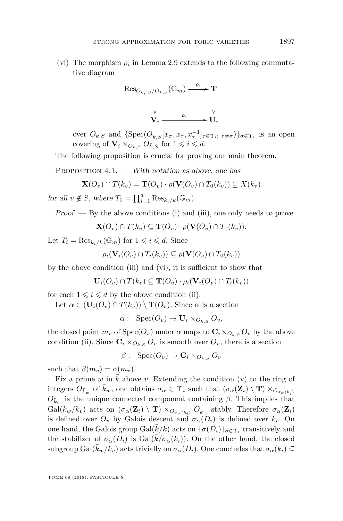<span id="page-19-1"></span>(vi) The morphism  $\rho_i$  in Lemma [2.9](#page-11-1) extends to the following commutative diagram



over  $O_{k,S}$  and  $\{\text{Spec}(O_{\bar{k},S}[x_{\sigma}, x_{\tau}, x_{\tau}^{-1}]_{\tau \in \Upsilon_i, \tau \neq \sigma})\}_{\sigma \in \Upsilon_i}$  is an open covering of  $\mathbf{V}_i \times_{O_{k,S}} O_{\bar{k},S}$  for  $1 \leqslant i \leqslant d$ .

The following proposition is crucial for proving our main theorem.

<span id="page-19-0"></span>PROPOSITION  $4.1.$  — With notation as above, one has

$$
\mathbf{X}(O_v) \cap T(k_v) = \mathbf{T}(O_v) \cdot \rho(\mathbf{V}(O_v) \cap T_0(k_v)) \subseteq X(k_v)
$$

for all  $v \notin S$ , where  $T_0 = \prod_{i=1}^d \text{Res}_{k_i/k}(\mathbb{G}_m)$ .

Proof. — By the above conditions [\(i\)](#page-18-0) and [\(iii\)](#page-18-1), one only needs to prove

 $\mathbf{X}(O_v) \cap T(k_v) \subseteq \mathbf{T}(O_v) \cdot \rho(\mathbf{V}(O_v) \cap T_0(k_v)).$ 

Let  $T_i = \text{Res}_{k_i/k}(\mathbb{G}_m)$  for  $1 \leq i \leq d$ . Since

$$
\rho_i(\mathbf{V}_i(O_v) \cap T_i(k_v)) \subseteq \rho(\mathbf{V}(O_v) \cap T_0(k_v))
$$

by the above condition [\(iii\)](#page-18-1) and [\(vi\)](#page-19-1), it is sufficient to show that

 $\mathbf{U}_i(O_v) \cap T(k_v) \subseteq \mathbf{T}(O_v) \cdot \rho_i(\mathbf{V}_i(O_v) \cap T_i(k_v))$ 

for each  $1 \leq i \leq d$  by the above condition [\(ii\)](#page-18-2).

Let  $\alpha \in (\mathbf{U}_i(O_v) \cap T(k_v)) \setminus \mathbf{T}(O_v)$ . Since  $\alpha$  is a section

 $\alpha$  :  $Spec(O_v) \to \mathbf{U}_i \times_{O_{k}} O_v$ 

the closed point  $m_v$  of  $Spec(O_v)$  under  $\alpha$  maps to  $\mathbf{C}_i \times_{O_{k,S}} O_v$  by the above condition [\(ii\)](#page-18-2). Since  $\mathbf{C}_i \times_{O_{k,S}} O_v$  is smooth over  $O_v$ , there is a section

 $\beta$  :  $\operatorname{Spec}(O_v) \to \mathbf{C}_i \times_{O_{k,S}} O_v$ 

such that  $\beta(m_v) = \alpha(m_v)$ .

Fix a prime  $w$  in  $k$  above  $v$ . Extending the condition  $(v)$  to the ring of integers  $O_{\bar{k}_w}$  of  $\bar{k}_w$ , one obtains  $\sigma_\alpha \in \Upsilon_i$  such that  $(\sigma_\alpha(\mathbf{Z}_i) \setminus \mathbf{T}) \times_{O_{\sigma_\alpha(k_i)}}$  $O_{\bar{k}_w}$  is the unique connected component containing *β*. This implies that  $\text{Gal}(\bar{k}_w/k_v)$  acts on  $(\sigma_\alpha(\mathbf{Z}_i) \setminus \mathbf{T}) \times_{O_{\sigma_\alpha(k_i)}} O_{\bar{k}_w}$  stably. Therefore  $\sigma_\alpha(\mathbf{Z}_i)$ is defined over  $O_v$  by Galois descent and  $\sigma_\alpha(D_i)$  is defined over  $k_v$ . On one hand, the Galois group  $Gal(\overline{k}/k)$  acts on  $\{\sigma(D_i)\}_{\sigma \in \Upsilon_i}$  transitively and the stabilizer of  $\sigma_{\alpha}(D_i)$  is  $Gal(\bar{k}/\sigma_{\alpha}(k_i))$ . On the other hand, the closed subgroup Gal( $k_w/k_v$ ) acts trivially on  $\sigma_\alpha(D_i)$ . One concludes that  $\sigma_\alpha(k_i) \subseteq$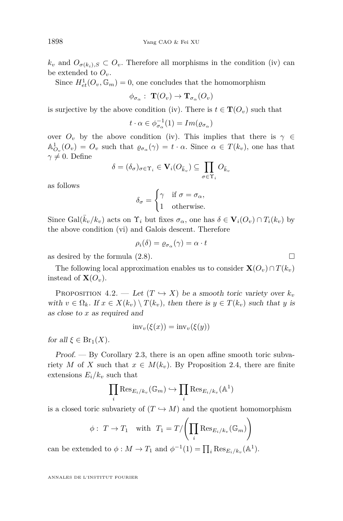$k_v$  and  $O_{\sigma(k_i),S} \subset O_v$ . Therefore all morphisms in the condition [\(iv\)](#page-18-4) can be extended to  $O_v$ .

Since  $H_{et}^1(O_v, \mathbb{G}_m) = 0$ , one concludes that the homomorphism

$$
\phi_{\sigma_{\alpha}}:\; {\bf T}(O_v)\to {\bf T}_{\sigma_{\alpha}}(O_v)
$$

is surjective by the above condition [\(iv\)](#page-18-4). There is  $t \in \mathbf{T}(O_v)$  such that

$$
t \cdot \alpha \in \phi_{\sigma_\alpha}^{-1}(1) = Im(\varrho_{\sigma_\alpha})
$$

over  $O_v$  by the above condition [\(iv\)](#page-18-4). This implies that there is  $\gamma \in$  $\mathbb{A}_{O_v}^1(O_v) = O_v$  such that  $\varrho_{\sigma_\alpha}(\gamma) = t \cdot \alpha$ . Since  $\alpha \in T(k_v)$ , one has that  $\gamma \neq 0$ . Define

$$
\delta = (\delta_{\sigma})_{\sigma \in \Upsilon_i} \in \mathbf{V}_i(O_{\bar{k}_v}) \subseteq \prod_{\sigma \in \Upsilon_i} O_{\bar{k}_v}
$$

as follows

$$
\delta_{\sigma} = \begin{cases} \gamma & \text{if } \sigma = \sigma_{\alpha}, \\ 1 & \text{otherwise.} \end{cases}
$$

Since Gal( $\bar{k}_v/k_v$ ) acts on  $\Upsilon_i$  but fixes  $\sigma_\alpha$ , one has  $\delta \in \mathbf{V}_i(O_v) \cap T_i(k_v)$  by the above condition [\(vi\)](#page-19-1) and Galois descent. Therefore

$$
\rho_i(\delta) = \varrho_{\sigma_\alpha}(\gamma) = \alpha \cdot t
$$

as desired by the formula  $(2.8)$ .

The following local approximation enables us to consider  $\mathbf{X}(O_v) \cap T(k_v)$ instead of  $\mathbf{X}(O_v)$ .

<span id="page-20-0"></span>PROPOSITION 4.2. — Let  $(T \hookrightarrow X)$  be a smooth toric variety over  $k_v$ with  $v \in \Omega_k$ . If  $x \in X(k_v) \setminus T(k_v)$ , then there is  $y \in T(k_v)$  such that *y* is as close to *x* as required and

$$
inv_v(\xi(x)) = inv_v(\xi(y))
$$

for all  $\xi \in \text{Br}_1(X)$ .

 $Proof.$  — By Corollary [2.3,](#page-5-0) there is an open affine smooth toric subvariety *M* of *X* such that  $x \in M(k_v)$ . By Proposition [2.4,](#page-6-0) there are finite extensions  $E_i/k_v$  such that

$$
\prod_i \mathrm{Res}_{E_i/k_v}(\mathbb{G}_m) \hookrightarrow \prod_i \mathrm{Res}_{E_i/k_v}(\mathbb{A}^1)
$$

is a closed toric subvariety of  $(T \hookrightarrow M)$  and the quotient homomorphism

$$
\phi: T \to T_1 \quad \text{with} \quad T_1 = T / \left( \prod_i \text{Res}_{E_i/k_v}(\mathbb{G}_m) \right)
$$

can be extended to  $\phi : M \to T_1$  and  $\phi^{-1}(1) = \prod_i \text{Res}_{E_i/k_v}(\mathbb{A}^1)$ .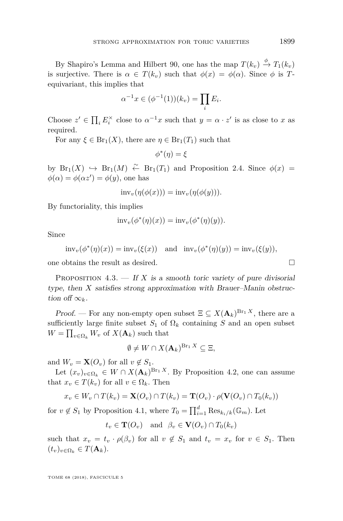By Shapiro's Lemma and Hilbert 90, one has the map  $T(k_v) \xrightarrow{\phi} T_1(k_v)$ is surjective. There is  $\alpha \in T(k_v)$  such that  $\phi(x) = \phi(\alpha)$ . Since  $\phi$  is Tequivariant, this implies that

$$
\alpha^{-1}x \in (\phi^{-1}(1))(k_v) = \prod_i E_i.
$$

Choose  $z' \in \prod_i E_i^{\times}$  close to  $\alpha^{-1}x$  such that  $y = \alpha \cdot z'$  is as close to *x* as required.

For any  $\xi \in \text{Br}_1(X)$ , there are  $\eta \in \text{Br}_1(T_1)$  such that

$$
\phi^*(\eta)=\xi
$$

by  $Br_1(X) \hookrightarrow Br_1(M) \stackrel{\sim}{\leftarrow} Br_1(T_1)$  and Proposition [2.4.](#page-6-0) Since  $\phi(x) =$  $\phi(\alpha) = \phi(\alpha z') = \phi(y)$ , one has

$$
inv_{v}(\eta(\phi(x))) = inv_{v}(\eta(\phi(y))).
$$

By functoriality, this implies

$$
inv_{v}(\phi^*(\eta)(x)) = inv_{v}(\phi^*(\eta)(y)).
$$

Since

$$
inv_{v}(\phi^{*}(\eta)(x)) = inv_{v}(\xi(x)) \text{ and } inv_{v}(\phi^{*}(\eta)(y)) = inv_{v}(\xi(y)),
$$

one obtains the result as desired.

<span id="page-21-0"></span>PROPOSITION  $4.3.$  — If *X* is a smooth toric variety of pure divisorial type, then *X* satisfies strong approximation with Brauer–Manin obstruction of  $\infty_k$ .

Proof. — For any non-empty open subset  $\Xi \subseteq X(\mathbf{A}_k)^{Br_1 X}$ , there are a sufficiently large finite subset  $S_1$  of  $\Omega_k$  containing *S* and an open subset  $W = \prod_{v \in \Omega_k} W_v$  of  $X(\mathbf{A}_k)$  such that

$$
\emptyset \neq W \cap X(\mathbf{A}_k)^{\mathrm{Br}_1 X} \subseteq \Xi,
$$

and  $W_v = \mathbf{X}(O_v)$  for all  $v \notin S_1$ .

Let  $(x_v)_{v \in \Omega_k} \in W \cap X(\mathbf{A}_k)^{Br_1 X}$ . By Proposition [4.2,](#page-20-0) one can assume that  $x_v \in T(k_v)$  for all  $v \in \Omega_k$ . Then

$$
x_v \in W_v \cap T(k_v) = \mathbf{X}(O_v) \cap T(k_v) = \mathbf{T}(O_v) \cdot \rho(\mathbf{V}(O_v) \cap T_0(k_v))
$$

for  $v \notin S_1$  by Proposition [4.1,](#page-19-0) where  $T_0 = \prod_{i=1}^d \text{Res}_{k_i/k}(\mathbb{G}_m)$ . Let

$$
t_v \in \mathbf{T}(O_v) \quad \text{and} \quad \beta_v \in \mathbf{V}(O_v) \cap T_0(k_v)
$$

such that  $x_v = t_v \cdot \rho(\beta_v)$  for all  $v \notin S_1$  and  $t_v = x_v$  for  $v \in S_1$ . Then  $(t_v)_{v \in \Omega_k} \in T(\mathbf{A}_k).$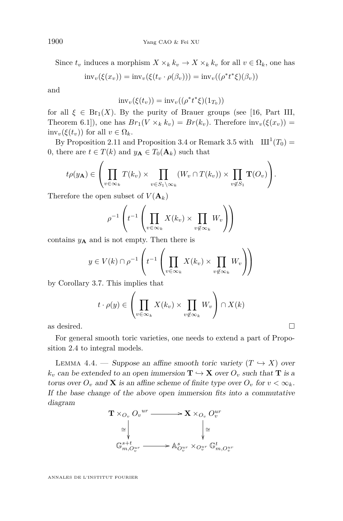Since  $t_v$  induces a morphism  $X \times_k k_v \to X \times_k k_v$  for all  $v \in \Omega_k$ , one has

$$
inv_{v}(\xi(x_{v})) = inv_{v}(\xi(t_{v} \cdot \rho(\beta_{v}))) = inv_{v}((\rho^{*}t^{*}\xi)(\beta_{v}))
$$

and

$$
inv_v(\xi(t_v)) = inv_v((\rho^* t^* \xi)(1_{T_0}))
$$

for all  $\xi \in Br_1(X)$ . By the purity of Brauer groups (see [\[16,](#page-30-9) Part III, Theorem 6.1]), one has  $Br_1(V \times_k k_v) = Br(k_v)$ . Therefore  $inv_v(\xi(x_v)) =$  $inv_{v}(\xi(t_{v}))$  for all  $v \in \Omega_{k}$ .

By Proposition [2.11](#page-12-1) and Proposition [3.4](#page-15-0) or Remark [3.5](#page-16-1) with  $III^1(T_0) =$ 0, there are  $t \in T(k)$  and  $y_A \in T_0(\mathbf{A}_k)$  such that

$$
t\rho(y_{\mathbf{A}}) \in \left(\prod_{v \in \infty_k} T(k_v) \times \prod_{v \in S_1 \setminus \infty_k} (W_v \cap T(k_v)) \times \prod_{v \notin S_1} \mathbf{T}(O_v)\right).
$$

Therefore the open subset of  $V(\mathbf{A}_k)$ 

$$
\rho^{-1}\left(t^{-1}\left(\prod_{v\in\infty_k}X(k_v)\times\prod_{v\not\in\infty_k}W_v\right)\right)
$$

contains  $y_A$  and is not empty. Then there is

$$
y \in V(k) \cap \rho^{-1}\left(t^{-1}\left(\prod_{v \in \infty_k} X(k_v) \times \prod_{v \notin \infty_k} W_v\right)\right)
$$

by Corollary [3.7.](#page-17-0) This implies that

$$
t \cdot \rho(y) \in \left(\prod_{v \in \infty_k} X(k_v) \times \prod_{v \notin \infty_k} W_v \right) \cap X(k)
$$
 as desired.

For general smooth toric varieties, one needs to extend a part of Proposition [2.4](#page-6-0) to integral models.

<span id="page-22-0"></span>LEMMA 4.4. — Suppose an affine smooth toric variety  $(T \hookrightarrow X)$  over  $k_v$  can be extended to an open immersion  $\mathbf{T} \hookrightarrow \mathbf{X}$  over  $O_v$  such that **T** is a torus over  $O_v$  and **X** is an affine scheme of finite type over  $O_v$  for  $v < \infty_k$ . If the base change of the above open immersion fits into a commutative diagram

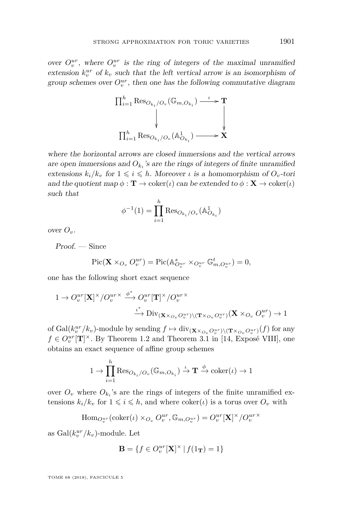over  $O_v^{ur}$ , where  $O_v^{ur}$  is the ring of integers of the maximal unramified extension  $k_v^{ur}$  of  $k_v$  such that the left vertical arrow is an isomorphism of group schemes over  $O_v^{ur}$ , then one has the following commutative diagram

$$
\Pi_{i=1}^{h} \operatorname{Res}_{O_{k_{i}}/O_{v}}(\mathbb{G}_{m,O_{k_{i}}}) \xrightarrow{\iota} \mathbf{T}
$$
\n
$$
\downarrow \qquad \qquad \downarrow
$$
\n
$$
\Pi_{i=1}^{h} \operatorname{Res}_{O_{k_{i}}/O_{v}}(\mathbb{A}_{O_{k_{i}}}^{1}) \xrightarrow{\qquad \qquad \downarrow} \mathbf{X}
$$

where the horizontal arrows are closed immersions and the vertical arrows are open immersions and  $O_{k_i}$ 's are the rings of integers of finite unramified extensions  $k_i/k_v$  for  $1 \leq i \leq h$ . Moreover *ι* is a homomorphism of  $O_v$ -tori and the quotient map  $\phi : \mathbf{T} \to \text{coker}(\iota)$  can be extended to  $\phi : \mathbf{X} \to \text{coker}(\iota)$ such that

$$
\phi^{-1}(1) = \prod_{i=1}^{h} \text{Res}_{O_{k_i}/O_v}(\mathbb{A}_{O_{k_i}}^1)
$$

over  $O_v$ .

Proof. — Since

$$
\mathrm{Pic}(\mathbf{X}\times_{O_v} O_v^{ur})=\mathrm{Pic}(\mathbb{A}^s_{O_v^{ur}}\times_{O_v^{ur}}\mathbb{G}^t_{m,O_v^{ur}})=0,
$$

one has the following short exact sequence

$$
\begin{aligned} 1 \rightarrow O_v^{ur}[\mathbf{X}]^\times/O_v^{ur\times} &\stackrel{\phi^*}{\longrightarrow} O_v^{ur}[\mathbf{T}]^\times/O_v^{ur\times} \\ &\stackrel{\iota^*}{\longrightarrow} \mathrm{Div}_{(\mathbf{X}\times_{O_v}O_v^{ur})\backslash (\mathbf{T}\times_{O_v}O_v^{ur})}(\mathbf{X}\times_{O_v}O_v^{ur}) \rightarrow 1 \end{aligned}
$$

of  $Gal(k_v^u)'(k_v)$ -module by sending  $f \mapsto \text{div}_{(\mathbf{X} \times_{O_v} O_v^{ur}) \setminus (\mathbf{T} \times_{O_v} O_v^{ur})}(f)$  for any  $f \in O_v^{ur}[\mathbf{T}]^{\times}$ . By Theorem 1.2 and Theorem 3.1 in [\[14,](#page-29-9) Exposé VIII], one obtains an exact sequence of affine group schemes

$$
1 \to \prod_{i=1}^h \text{Res}_{O_{k_i}/O_v}(\mathbb{G}_{m,O_{k_i}}) \stackrel{\iota}{\to} \mathbf{T} \stackrel{\phi}{\to} \text{coker}(\iota) \to 1
$$

over  $O_v$  where  $O_{k_i}$ 's are the rings of integers of the finite unramified extensions  $k_i/k_v$  for  $1 \leq i \leq h$ , and where  $\text{coker}(\iota)$  is a torus over  $O_v$  with

$$
\mathrm{Hom}_{Q_v^{ur}}(\mathrm{coker}(\iota)\times_{O_v} O_v^{ur}, \mathbb{G}_{m,O_v^{ur}}) = O_v^{ur}[\mathbf{X}]^\times/O_v^{ur\times}
$$

as  $Gal(k_v^{ur}/k_v)$ -module. Let

$$
\mathbf{B}=\{f\in O_v^{ur}[\mathbf{X}]^\times\,|\,f(1_{\mathbf{T}})=1\}
$$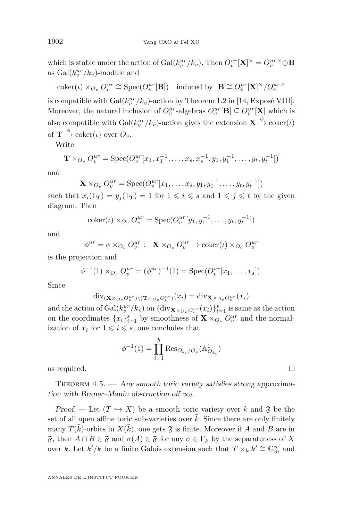which is stable under the action of  $Gal(k_v^{ur}/k_v)$ . Then  $O_v^{ur}[\mathbf{X}]^{\times} = O_v^{ur \times} \oplus \mathbf{B}$ as  $Gal(k_v^{ur}/k_v)$ -module and

 $coker(\iota) \times_{O_v} O_v^{ur} \cong \text{Spec}(O_v^{ur}[\mathbf{B}])$  induced by  $\mathbf{B} \cong O_v^{ur}[\mathbf{X}]^\times/O_v^{ur}$ 

is compatible with  $Gal(k_v^{ur}/k_v)$ -action by Theorem 1.2 in [\[14,](#page-29-9) Exposé VIII]. Moreover, the natural inclusion of  $O_v^{ur}$ -algebras  $O_v^{ur}[\mathbf{B}] \subseteq O_v^{ur}[\mathbf{X}]$  which is also compatible with  $Gal(k_v^{ur}/k_v)$ -action gives the extension  $\mathbf{X} \xrightarrow{\phi} \text{coker}(\iota)$ of  $\mathbf{T} \xrightarrow{\phi} \text{coker}(\iota)$  over  $O_{v}$ .

Write

$$
\mathbf{T} \times_{O_v} O_v^{ur} = \text{Spec}(O_v^{ur}[x_1, x_1^{-1}, \dots, x_s, x_s^{-1}, y_1, y_1^{-1}, \dots, y_t, y_t^{-1}])
$$

and

$$
\mathbf{X} \times_{O_v} O_v^{ur} = \text{Spec}(O_v^{ur}[x_1, \dots, x_s, y_1, y_1^{-1}, \dots, y_t, y_t^{-1}])
$$

such that  $x_i(1_T) = y_j(1_T) = 1$  for  $1 \leq i \leq s$  and  $1 \leq j \leq t$  by the given diagram. Then

$$
coker(\iota) \times_{O_v} O_v^{ur} = Spec(O_v^{ur}[y_1, y_1^{-1}, \dots, y_t, y_t^{-1}])
$$

and

$$
\phi^{ur} = \phi \times_{O_v} O_v^{ur} : \mathbf{X} \times_{O_v} O_v^{ur} \to \mathrm{coker}(t) \times_{O_v} O_v^{ur}
$$

is the projection and

$$
\phi^{-1}(1) \times_{O_v} O_v^{ur} = (\phi^{ur})^{-1}(1) = \operatorname{Spec}(O_v^{ur}[x_1, \dots, x_s]).
$$

Since

$$
\mathrm{div}_{(\mathbf{X}\times_{O_v}O_v^{ur})\setminus(\mathbf{T}\times_{O_v}O_v^{ur})}(x_i)=\mathrm{div}_{\mathbf{X}\times_{O_v}O_v^{ur}}(x_i)
$$

and the action of  $Gal(k_v^{ur}/k_v)$  on  $\{\text{div}_{\mathbf{X}\times_{O_v}O_v^{ur}}(x_i)\}_{i=1}^s$  is same as the action on the coordinates  $\{x_i\}_{i=1}^s$  by smoothness of  $\mathbf{X} \times_{O_v} O_v^{ur}$  and the normalization of  $x_i$  for  $1 \leq i \leq s$ , one concludes that

 $\phi^{-1}(1) = \prod^h$  $\prod_{i=1}$   $\text{Res}_{O_{k_i}/O_v}(\mathbb{A}_{O_{k_i}}^1)$ as required.  $\Box$ 

<span id="page-24-0"></span>THEOREM  $4.5.$  — Any smooth toric variety satisfies strong approximation with Brauer–Manin obstruction of  $\infty_k$ .

Proof. — Let  $(T \hookrightarrow X)$  be a smooth toric variety over *k* and  $\mathfrak{F}$  be the set of all open affine toric sub-varieties over  $\bar{k}$ . Since there are only finitely many  $T(\bar{k})$ -orbits in  $X(\bar{k})$ , one gets  $\mathfrak{F}$  is finite. Moreover if *A* and *B* are in  $\mathfrak{F}$ , then  $A \cap B \in \mathfrak{F}$  and  $\sigma(A) \in \mathfrak{F}$  for any  $\sigma \in \Gamma_k$  by the separateness of X over *k*. Let  $k'/k$  be a finite Galois extension such that  $T \times_k k' \cong \mathbb{G}_m^n$  and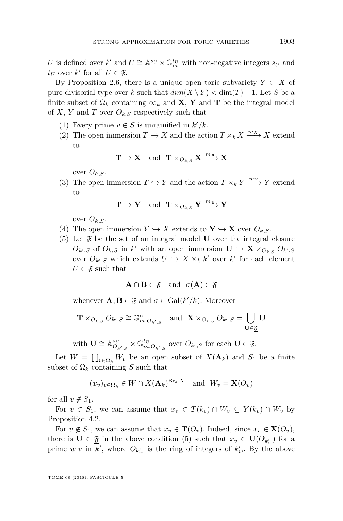*U* is defined over *k*' and  $U \cong \mathbb{A}^{s_U} \times \mathbb{G}_m^{t_U}$  with non-negative integers  $s_U$  and  $t_U$  over  $k'$  for all  $U \in \mathfrak{F}$ .

By Proposition [2.6,](#page-8-1) there is a unique open toric subvariety  $Y \subset X$  of pure divisorial type over *k* such that  $dim(X \setminus Y) < dim(T) - 1$ . Let *S* be a finite subset of  $\Omega_k$  containing  $\infty_k$  and **X**, **Y** and **T** be the integral model of *X*, *Y* and *T* over  $O_{k,S}$  respectively such that

- <span id="page-25-1"></span>(1) Every prime  $v \notin S$  is unramified in  $k'/k$ .
- (2) The open immersion  $T \hookrightarrow X$  and the action  $T \times_k X \xrightarrow{m_X} X$  extend to

$$
\mathbf{T} \hookrightarrow \mathbf{X} \quad \text{and} \quad \mathbf{T} \times_{O_{k,S}} \mathbf{X} \xrightarrow{m_{\mathbf{X}}} \mathbf{X}
$$

over  $O_{k,S}$ .

<span id="page-25-2"></span>(3) The open immersion  $T \hookrightarrow Y$  and the action  $T \times_k Y \xrightarrow{m_Y} Y$  extend to

$$
\mathbf{T} \hookrightarrow \mathbf{Y} \quad \text{and} \quad \mathbf{T} \times_{O_{k,S}} \mathbf{Y} \xrightarrow{m_{\mathbf{Y}}} \mathbf{Y}
$$

over  $O_{k,S}$ .

- <span id="page-25-3"></span>(4) The open immersion  $Y \hookrightarrow X$  extends to  $\mathbf{Y} \hookrightarrow \mathbf{X}$  over  $O_{k,S}$ .
- <span id="page-25-0"></span>(5) Let  $\mathfrak{F}$  be the set of an integral model **U** over the integral closure  $O_{k',S}$  of  $O_{k,S}$  in  $k'$  with an open immersion  $\mathbf{U} \hookrightarrow \mathbf{X} \times_{O_{k,S}} O_{k',S}$ over  $O_{k',S}$  which extends  $U \hookrightarrow X \times_k k'$  over  $k'$  for each element  $U \in \mathfrak{F}$  such that

$$
\mathbf{A} \cap \mathbf{B} \in \mathfrak{F} \quad \text{and} \quad \sigma(\mathbf{A}) \in \mathfrak{F}
$$

whenever  $\mathbf{A}, \mathbf{B} \in \mathfrak{F}$  and  $\sigma \in \text{Gal}(k'/k)$ . Moreover

$$
\mathbf{T} \times_{O_{k,S}} O_{k',S} \cong \mathbb{G}_{m,O_{k',S}}^n \quad \text{and} \quad \mathbf{X} \times_{O_{k,S}} O_{k',S} = \bigcup_{\mathbf{U} \in \underline{\mathfrak{F}}} \mathbf{U}
$$

with  $\mathbf{U} \cong \mathbb{A}^{s_U}_{O_{k',S}} \times \mathbb{G}^{t_U}_{m,O_{k',S}}$  over  $O_{k',S}$  for each  $\mathbf{U} \in \underline{\mathfrak{F}}$ .

Let  $W = \prod_{v \in \Omega_k} W_v$  be an open subset of  $X(\mathbf{A}_k)$  and  $S_1$  be a finite subset of  $\Omega_k$  containing *S* such that

$$
(x_v)_{v \in \Omega_k} \in W \cap X(\mathbf{A}_k)^{\operatorname{Br}_a X}
$$
 and  $W_v = \mathbf{X}(O_v)$ 

for all  $v \notin S_1$ .

For  $v \in S_1$ , we can assume that  $x_v \in T(k_v) \cap W_v \subseteq Y(k_v) \cap W_v$  by Proposition [4.2.](#page-20-0)

For  $v \notin S_1$ , we can assume that  $x_v \in \mathbf{T}(O_v)$ . Indeed, since  $x_v \in \mathbf{X}(O_v)$ , there is  $\mathbf{U} \in \underline{\mathfrak{F}}$  in the above condition [\(5\)](#page-25-0) such that  $x_v \in \mathbf{U}(O_{k'_w})$  for a prime  $w|v$  in  $k'$ , where  $O_{k'_w}$  is the ring of integers of  $k'_w$ . By the above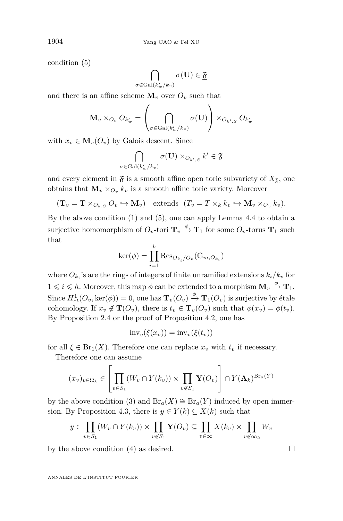condition [\(5\)](#page-25-0)

$$
\bigcap_{\sigma\in\mathrm{Gal}(k'_w/k_v)}\sigma(\mathbf{U})\in\underline{\mathfrak{F}}
$$

and there is an affine scheme  $\mathbf{M}_v$  over  $O_v$  such that

$$
\mathbf{M}_{v} \times_{O_{v}} O_{k'_{w}} = \left(\bigcap_{\sigma \in \mathrm{Gal}(k'_{w}/k_{v})} \sigma(\mathbf{U})\right) \times_{O_{k',S}} O_{k'_{w}}
$$

with  $x_v \in M_v(O_v)$  by Galois descent. Since

$$
\bigcap_{\sigma \in \text{Gal}(k'_w/k_v)} \sigma(\mathbf{U}) \times_{O_{k',S}} k' \in \mathfrak{F}
$$

and every element in  $\mathfrak{F}$  is a smooth affine open toric subvariety of  $X_{\bar{k}}$ , one obtains that  $\mathbf{M}_v \times_{O_v} k_v$  is a smooth affine toric variety. Moreover

$$
(\mathbf{T}_v = \mathbf{T} \times_{O_{k,S}} O_v \hookrightarrow \mathbf{M}_v)
$$
 extends  $(T_v = T \times_k k_v \hookrightarrow \mathbf{M}_v \times_{O_v} k_v)$ .

By the above condition [\(1\)](#page-25-1) and [\(5\)](#page-25-0), one can apply Lemma [4.4](#page-22-0) to obtain a surjective homomorphism of  $O_v$ -tori  $\mathbf{T}_v \stackrel{\phi}{\to} \mathbf{T}_1$  for some  $O_v$ -torus  $\mathbf{T}_1$  such that

$$
\ker(\phi) = \prod_{i=1}^{h} \text{Res}_{O_{k_i}/O_v}(\mathbb{G}_{m,O_{k_i}})
$$

where  $O_{k_i}$ 's are the rings of integers of finite unramified extensions  $k_i/k_v$  for  $1 \leqslant i \leqslant h$ . Moreover, this map  $\phi$  can be extended to a morphism  $\mathbf{M}_v \stackrel{\phi}{\rightarrow} \mathbf{T}_1$ . Since  $H_{et}^1(O_v, \ker(\phi)) = 0$ , one has  $\mathbf{T}_v(O_v) \xrightarrow{\phi} \mathbf{T}_1(O_v)$  is surjective by étale cohomology. If  $x_v \notin \mathbf{T}(O_v)$ , there is  $t_v \in \mathbf{T}_v(O_v)$  such that  $\phi(x_v) = \phi(t_v)$ . By Proposition [2.4](#page-6-0) or the proof of Proposition [4.2,](#page-20-0) one has

$$
inv_{v}(\xi(x_{v})) = inv_{v}(\xi(t_{v}))
$$

for all  $\xi \in \text{Br}_1(X)$ . Therefore one can replace  $x_v$  with  $t_v$  if necessary.

Therefore one can assume

$$
(x_v)_{v \in \Omega_k} \in \left[ \prod_{v \in S_1} (W_v \cap Y(k_v)) \times \prod_{v \notin S_1} \mathbf{Y}(O_v) \right] \cap Y(\mathbf{A}_k)^{\mathrm{Br}_a(Y)}
$$

by the above condition [\(3\)](#page-25-2) and  $Br_a(X) \cong Br_a(Y)$  induced by open immer-sion. By Proposition [4.3,](#page-21-0) there is  $y \in Y(k) \subseteq X(k)$  such that

$$
y \in \prod_{v \in S_1} (W_v \cap Y(k_v)) \times \prod_{v \notin S_1} \mathbf{Y}(O_v) \subseteq \prod_{v \in \infty} X(k_v) \times \prod_{v \notin \infty_k} W_v
$$

by the above condition [\(4\)](#page-25-3) as desired.  $\square$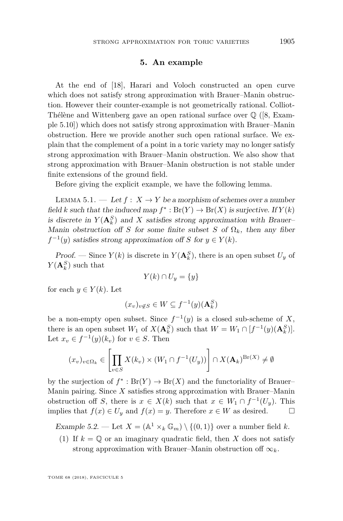#### **5. An example**

<span id="page-27-1"></span>At the end of [\[18\]](#page-30-10), Harari and Voloch constructed an open curve which does not satisfy strong approximation with Brauer–Manin obstruction. However their counter-example is not geometrically rational. Colliot-Thélène and Wittenberg gave an open rational surface over  $\mathbb{Q}$  ([\[8,](#page-29-14) Example 5.10]) which does not satisfy strong approximation with Brauer–Manin obstruction. Here we provide another such open rational surface. We explain that the complement of a point in a toric variety may no longer satisfy strong approximation with Brauer–Manin obstruction. We also show that strong approximation with Brauer–Manin obstruction is not stable under finite extensions of the ground field.

Before giving the explicit example, we have the following lemma.

<span id="page-27-3"></span>LEMMA 5.1. — Let  $f: X \to Y$  be a morphism of schemes over a number field *k* such that the induced map  $f^*$ :  $Br(Y) \to Br(X)$  is surjective. If  $Y(k)$ is discrete in  $Y(\mathbf{A}_k^S)$  and X satisfies strong approximation with Brauer– Manin obstruction of *S* for some finite subset *S* of  $\Omega_k$ , then any fiber  $f^{-1}(y)$  satisfies strong approximation off *S* for  $y \in Y(k)$ .

*Proof.* — Since  $Y(k)$  is discrete in  $Y(\mathbf{A}_k^S)$ , there is an open subset  $U_y$  of  $Y(\mathbf{A}_k^S)$  such that

$$
Y(k) \cap U_y = \{y\}
$$

for each  $y \in Y(k)$ . Let

$$
(x_v)_{v \notin S} \in W \subseteq f^{-1}(y)(\mathbf{A}_k^S)
$$

be a non-empty open subset. Since  $f^{-1}(y)$  is a closed sub-scheme of X, there is an open subset  $W_1$  of  $X(\mathbf{A}_k^S)$  such that  $W = W_1 \cap [f^{-1}(y)(\mathbf{A}_k^S)]$ . Let  $x_v \in f^{-1}(y)(k_v)$  for  $v \in S$ . Then

$$
(x_v)_{v \in \Omega_k} \in \left[ \prod_{v \in S} X(k_v) \times (W_1 \cap f^{-1}(U_y)) \right] \cap X(\mathbf{A}_k)^{\mathrm{Br}(X)} \neq \emptyset
$$

by the surjection of  $f^*$ :  $Br(Y) \to Br(X)$  and the functoriality of Brauer– Manin pairing. Since *X* satisfies strong approximation with Brauer–Manin obstruction off *S*, there is  $x \in X(k)$  such that  $x \in W_1 \cap f^{-1}(U_y)$ . This implies that *f*(*x*) ∈ *U<sub>y</sub>* and *f*(*x*) = *y*. Therefore *x* ∈ *W* as desired.  $□$ 

<span id="page-27-0"></span>Example 5.2. — Let  $X = (\mathbb{A}^1 \times_k \mathbb{G}_m) \setminus \{(0,1)\}$  over a number field *k*.

<span id="page-27-2"></span>(1) If  $k = \mathbb{Q}$  or an imaginary quadratic field, then *X* does not satisfy strong approximation with Brauer–Manin obstruction of  $\infty_k$ .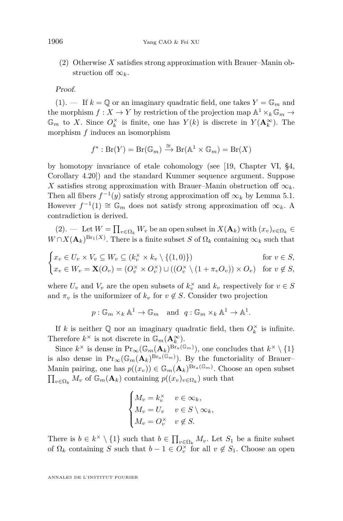<span id="page-28-0"></span>(2) Otherwise *X* satisfies strong approximation with Brauer–Manin obstruction of  $\infty_k$ .

#### Proof.

 $(1).$  $(1).$  If  $k = \mathbb{Q}$  or an imaginary quadratic field, one takes  $Y = \mathbb{G}_m$  and the morphism  $f: X \to Y$  by restriction of the projection map  $\mathbb{A}^1 \times_k \mathbb{G}_m \to Y$  $\mathbb{G}_m$  to *X*. Since  $O_k^{\times}$  is finite, one has  $Y(k)$  is discrete in  $Y(\mathbf{A}_k^{\infty})$ . The morphism *f* induces an isomorphism

$$
f^*: Br(Y) = Br(\mathbb{G}_m) \xrightarrow{\cong} Br(\mathbb{A}^1 \times \mathbb{G}_m) = Br(X)
$$

by homotopy invariance of etale cohomology (see [\[19,](#page-30-8) Chapter VI, §4, Corollary 4.20]) and the standard Kummer sequence argument. Suppose *X* satisfies strong approximation with Brauer–Manin obstruction off  $\infty_k$ . Then all fibers  $f^{-1}(y)$  satisfy strong approximation of  $\infty_k$  by Lemma [5.1.](#page-27-3) However  $f^{-1}(1) \cong \mathbb{G}_m$  does not satisfy strong approximation of  $\infty_k$ . A contradiction is derived.

 $(2).$  $(2).$  — Let  $W = \prod_{v \in \Omega_k} W_v$  be an open subset in  $X(\mathbf{A}_k)$  with  $(x_v)_{v \in \Omega_k}$  $W \cap X(\mathbf{A}_k)^{Br_1(X)}$ . There is a finite subset *S* of  $\Omega_k$  containing  $\infty_k$  such that

$$
\begin{cases} x_v \in U_v \times V_v \subseteq W_v \subseteq (k_v^{\times} \times k_v \setminus \{(1,0)\}) & \text{for } v \in S, \\ x_v \in W_v = \mathbf{X}(O_v) = (O_v^{\times} \times O_v^{\times}) \cup ((O_v^{\times} \setminus (1 + \pi_v O_v)) \times O_v) & \text{for } v \notin S, \end{cases}
$$

where  $U_v$  and  $V_v$  are the open subsets of  $k_v^{\times}$  and  $k_v$  respectively for  $v \in S$ and  $\pi_v$  is the uniformizer of  $k_v$  for  $v \notin S$ . Consider two projection

 $p: \mathbb{G}_m \times_k \mathbb{A}^1 \to \mathbb{G}_m$  and  $q: \mathbb{G}_m \times_k \mathbb{A}^1 \to \mathbb{A}^1$ .

If *k* is neither  $\mathbb{Q}$  nor an imaginary quadratic field, then  $O_k^{\times}$  is infinite. Therefore  $k^{\times}$  is not discrete in  $\mathbb{G}_{m}(\mathbf{A}_{k}^{\infty})$ .

Since  $k^{\times}$  is dense in  $Pr_{\infty}(\mathbb{G}_m(\mathbf{A}_k)^{\text{Br}_a(\mathbb{G}_m)}),$  one concludes that  $k^{\times} \setminus \{1\}$ is also dense in  $Pr_{\infty}(\mathbb{G}_m(\mathbf{A}_k)^{Br_a(\mathbb{G}_m)})$ . By the functoriality of Brauer– Manin pairing, one has  $p((x_v)) \in \mathbb{G}_m(\mathbf{A}_k)^{Br_a(\mathbb{G}_m)}$ . Choose an open subset  $\prod_{v \in \Omega_k} M_v$  of  $\mathbb{G}_m(\mathbf{A}_k)$  containing  $p((x_v)_{v \in \Omega_k})$  such that

$$
\begin{cases}\nM_v = k_v^\times & v \in \infty_k, \\
M_v = U_v & v \in S \setminus \infty_k, \\
M_v = O_v^\times & v \notin S.\n\end{cases}
$$

There is  $b \in k^{\times} \setminus \{1\}$  such that  $b \in \prod_{v \in \Omega_k} M_v$ . Let  $S_1$  be a finite subset of  $\Omega_k$  containing *S* such that  $b-1 \in O_v^{\times}$  for all  $v \notin S_1$ . Choose an open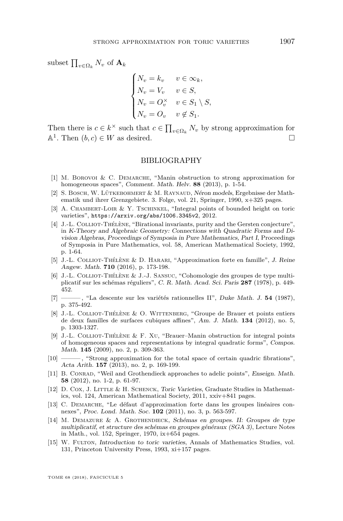subset  $\prod_{v \in \Omega_k} N_v$  of  $\mathbf{A}_k$ 

$$
\begin{cases}\nN_v = k_v & v \in \infty_k, \\
N_v = V_v & v \in S, \\
N_v = O_v^\times & v \in S_1 \setminus S, \\
N_v = O_v & v \notin S_1.\n\end{cases}
$$

Then there is  $c \in k^{\times}$  such that  $c \in \prod_{v \in \Omega_k} N_v$  by strong approximation for  $A^1$ . Then  $(b, c) \in W$  as desired.

#### BIBLIOGRAPHY

- <span id="page-29-1"></span>[1] M. BOROVOI & C. DEMARCHE, "Manin obstruction to strong approximation for homogeneous spaces", Comment. Math. Helv. **88** (2013), p. 1-54.
- <span id="page-29-10"></span>[2] S. BOSCH, W. LÜTKEBOHMERT & M. RAYNAUD, Néron models, Ergebnisse der Mathematik und ihrer Grenzgebiete. 3. Folge, vol. 21, Springer, 1990, x+325 pages.
- <span id="page-29-8"></span>[3] A. CHAMBERT-LOIR & Y. TSCHINKEL, "Integral points of bounded height on toric varieties", <https://arxiv.org/abs/1006.3345v2>, 2012.
- <span id="page-29-11"></span>[4] J.-L. Colliot-Thélène, "Birational invariants, purity and the Gersten conjecture", in K-Theory and Algebraic Geometry: Connections with Quadratic Forms and Division Algebras, Proceedings of Symposia in Pure Mathematics, Part I, Proceedings of Symposia in Pure Mathematics, vol. 58, American Mathematical Society, 1992, p. 1-64.
- <span id="page-29-3"></span>[5] J.-L. Colliot-Thélène & D. Harari, "Approximation forte en famille", J. Reine Angew. Math. **710** (2016), p. 173-198.
- <span id="page-29-13"></span>[6] J.-L. Colliot-Thélène & J.-J. Sansuc, "Cohomologie des groupes de type multiplicatif sur les schémas réguliers", C. R. Math. Acad. Sci. Paris **287** (1978), p. 449- 452.
- <span id="page-29-12"></span>[7] ——— , "La descente sur les variétés rationnelles II", Duke Math. J. **54** (1987), p. 375-492.
- <span id="page-29-14"></span>[8] J.-L. Colliot-Thélène & O. Wittenberg, "Groupe de Brauer et points entiers de deux familles de surfaces cubiques affines", Am. J. Math. **134** (2012), no. 5, p. 1303-1327.
- <span id="page-29-0"></span>[9] J.-L. Colliot-Thélène & F. Xu, "Brauer–Manin obstruction for integral points of homogeneous spaces and representations by integral quadratic forms", Compos. Math. **145** (2009), no. 2, p. 309-363.
- <span id="page-29-4"></span>[10] ——— , "Strong approximation for the total space of certain quadric fibrations", Acta Arith. **157** (2013), no. 2, p. 169-199.
- <span id="page-29-6"></span>[11] B. CONRAD, "Weil and Grothendieck approaches to adelic points", Enseign. Math. **58** (2012), no. 1-2, p. 61-97.
- <span id="page-29-7"></span>[12] D. Cox, J. Little & H. Schenck, Toric Varieties, Graduate Studies in Mathematics, vol. 124, American Mathematical Society, 2011, xxiv+841 pages.
- <span id="page-29-2"></span>[13] C. Demarche, "Le défaut d'approximation forte dans les groupes linéaires connexes", Proc. Lond. Math. Soc. **102** (2011), no. 3, p. 563-597.
- <span id="page-29-9"></span>[14] M. Demazure & A. Grothendieck, Schémas en groupes. II: Groupes de type multiplicatif, et structure des schémas en groupes généraux (SGA 3), Lecture Notes in Math., vol. 152, Springer, 1970, ix+654 pages.
- <span id="page-29-5"></span>[15] W. Fulton, *Introduction to toric varieties*, Annals of Mathematics Studies, vol. 131, Princeton University Press, 1993, xi+157 pages.